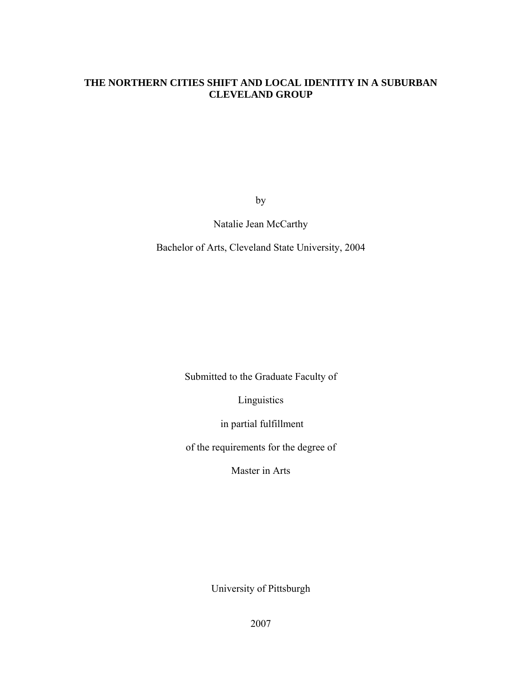## **THE NORTHERN CITIES SHIFT AND LOCAL IDENTITY IN A SUBURBAN CLEVELAND GROUP**

by

Natalie Jean McCarthy

Bachelor of Arts, Cleveland State University, 2004

Submitted to the Graduate Faculty of

Linguistics

in partial fulfillment

of the requirements for the degree of

Master in Arts

University of Pittsburgh

2007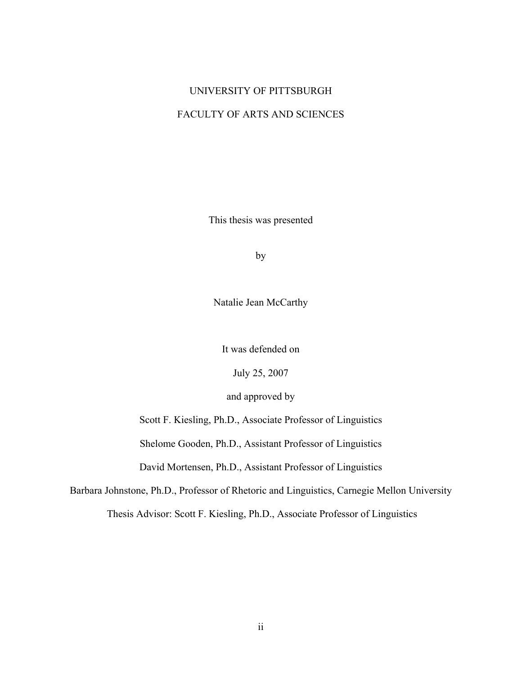## UNIVERSITY OF PITTSBURGH

## FACULTY OF ARTS AND SCIENCES

This thesis was presented

by

Natalie Jean McCarthy

It was defended on

July 25, 2007

and approved by

Scott F. Kiesling, Ph.D., Associate Professor of Linguistics

Shelome Gooden, Ph.D., Assistant Professor of Linguistics

David Mortensen, Ph.D., Assistant Professor of Linguistics

Barbara Johnstone, Ph.D., Professor of Rhetoric and Linguistics, Carnegie Mellon University

Thesis Advisor: Scott F. Kiesling, Ph.D., Associate Professor of Linguistics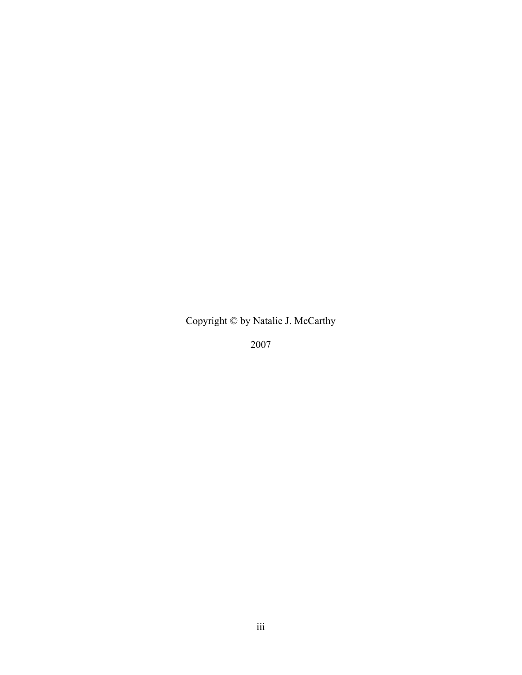Copyright © by Natalie J. McCarthy

2007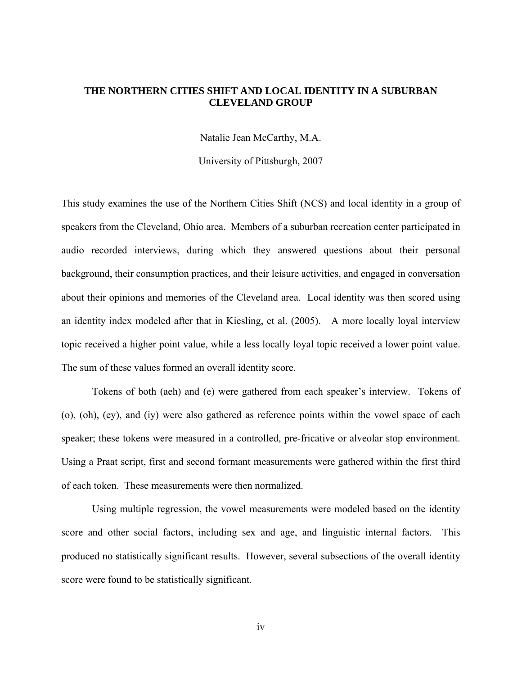## **THE NORTHERN CITIES SHIFT AND LOCAL IDENTITY IN A SUBURBAN CLEVELAND GROUP**

Natalie Jean McCarthy, M.A.

University of Pittsburgh, 2007

This study examines the use of the Northern Cities Shift (NCS) and local identity in a group of speakers from the Cleveland, Ohio area. Members of a suburban recreation center participated in audio recorded interviews, during which they answered questions about their personal background, their consumption practices, and their leisure activities, and engaged in conversation about their opinions and memories of the Cleveland area. Local identity was then scored using an identity index modeled after that in Kiesling, et al. (2005). A more locally loyal interview topic received a higher point value, while a less locally loyal topic received a lower point value. The sum of these values formed an overall identity score.

Tokens of both (aeh) and (e) were gathered from each speaker's interview. Tokens of (o), (oh), (ey), and (iy) were also gathered as reference points within the vowel space of each speaker; these tokens were measured in a controlled, pre-fricative or alveolar stop environment. Using a Praat script, first and second formant measurements were gathered within the first third of each token. These measurements were then normalized.

Using multiple regression, the vowel measurements were modeled based on the identity score and other social factors, including sex and age, and linguistic internal factors. This produced no statistically significant results. However, several subsections of the overall identity score were found to be statistically significant.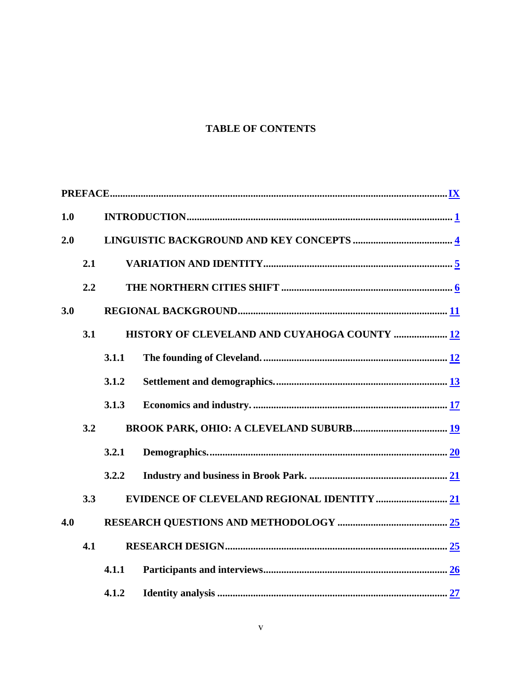## **TABLE OF CONTENTS**

| 1.0        |     |       |                                              |
|------------|-----|-------|----------------------------------------------|
| 2.0        |     |       |                                              |
|            | 2.1 |       |                                              |
|            | 2.2 |       |                                              |
| 3.0        |     |       |                                              |
|            | 3.1 |       | HISTORY OF CLEVELAND AND CUYAHOGA COUNTY  12 |
|            |     | 3.1.1 |                                              |
|            |     | 3.1.2 |                                              |
|            |     | 3.1.3 |                                              |
|            | 3.2 |       |                                              |
|            |     | 3.2.1 |                                              |
|            |     | 3.2.2 |                                              |
|            | 3.3 |       |                                              |
| 4.0<br>4.1 |     |       |                                              |
|            |     |       |                                              |
|            |     | 4.1.1 |                                              |
|            |     | 4.1.2 |                                              |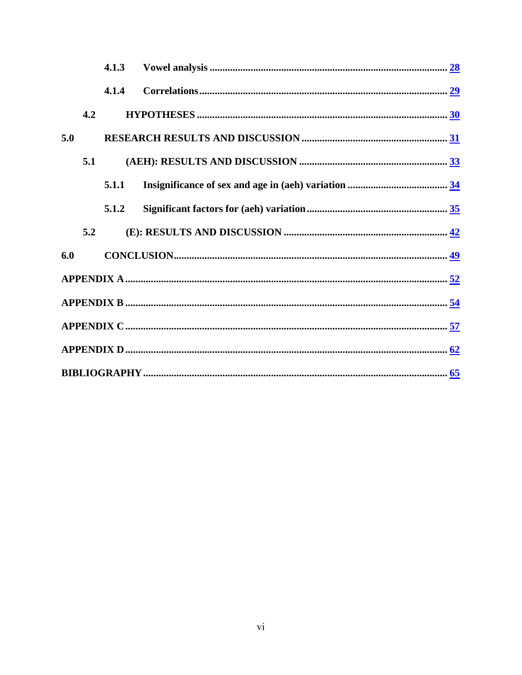|     |     | 4.1.3 |  |  |  |
|-----|-----|-------|--|--|--|
|     |     | 4.1.4 |  |  |  |
|     | 4.2 |       |  |  |  |
| 5.0 |     |       |  |  |  |
|     | 5.1 |       |  |  |  |
|     |     | 5.1.1 |  |  |  |
|     |     | 5.1.2 |  |  |  |
|     | 5.2 |       |  |  |  |
| 6.0 |     |       |  |  |  |
|     |     |       |  |  |  |
|     |     |       |  |  |  |
|     |     |       |  |  |  |
|     |     |       |  |  |  |
|     |     |       |  |  |  |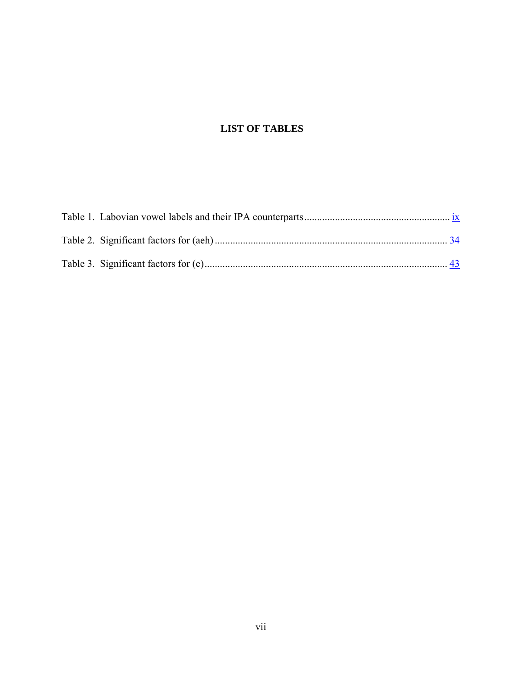# **LIST OF TABLES**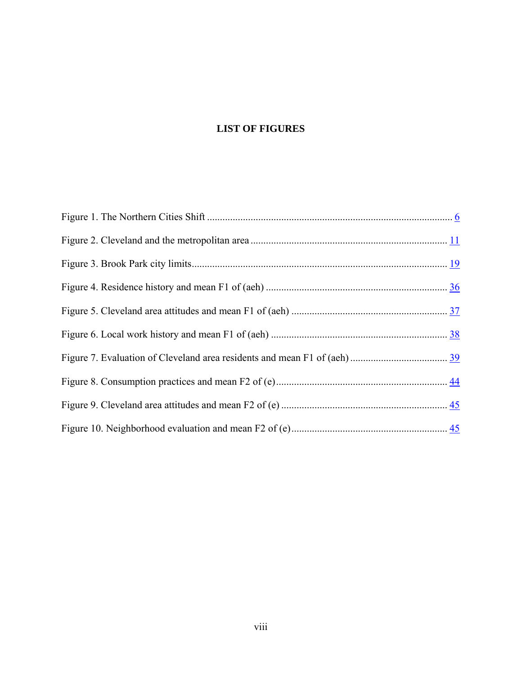# **LIST OF FIGURES**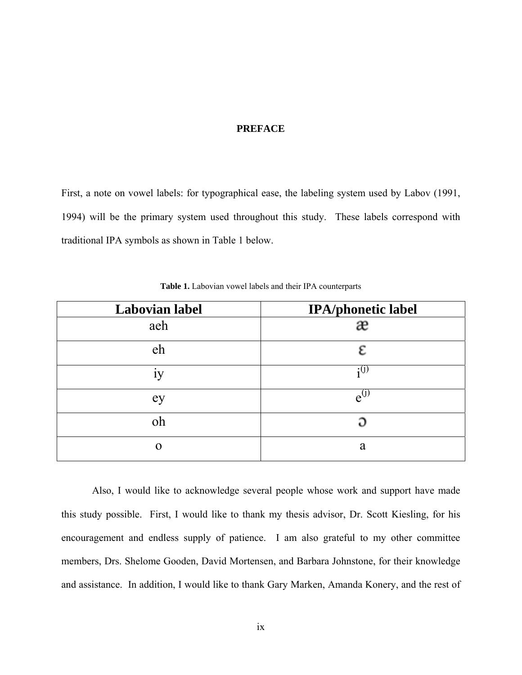## **PREFACE**

<span id="page-8-0"></span>First, a note on vowel labels: for typographical ease, the labeling system used by Labov (1991, 1994) will be the primary system used throughout this study. These labels correspond with traditional IPA symbols as shown in Table 1 below.

| <b>Labovian label</b> | <b>IPA/phonetic label</b> |
|-----------------------|---------------------------|
| aeh                   |                           |
| eh                    |                           |
| ٠<br>1y               | $\cdot$ (1)               |
| ey                    | $e^{0}$                   |
| oh                    | ວ                         |
| O                     | a                         |

**Table 1.** Labovian vowel labels and their IPA counterparts

 Also, I would like to acknowledge several people whose work and support have made this study possible. First, I would like to thank my thesis advisor, Dr. Scott Kiesling, for his encouragement and endless supply of patience. I am also grateful to my other committee members, Drs. Shelome Gooden, David Mortensen, and Barbara Johnstone, for their knowledge and assistance. In addition, I would like to thank Gary Marken, Amanda Konery, and the rest of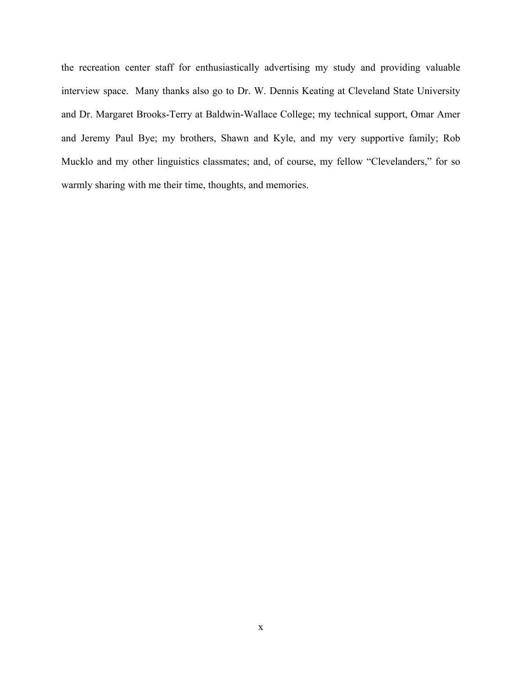the recreation center staff for enthusiastically advertising my study and providing valuable interview space. Many thanks also go to Dr. W. Dennis Keating at Cleveland State University and Dr. Margaret Brooks-Terry at Baldwin-Wallace College; my technical support, Omar Amer and Jeremy Paul Bye; my brothers, Shawn and Kyle, and my very supportive family; Rob Mucklo and my other linguistics classmates; and, of course, my fellow "Clevelanders," for so warmly sharing with me their time, thoughts, and memories.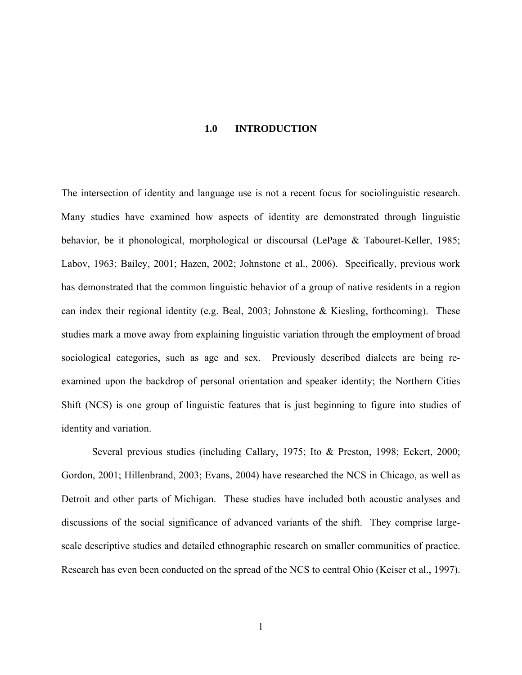### **1.0 INTRODUCTION**

<span id="page-10-0"></span>The intersection of identity and language use is not a recent focus for sociolinguistic research. Many studies have examined how aspects of identity are demonstrated through linguistic behavior, be it phonological, morphological or discoursal (LePage & Tabouret-Keller, 1985; Labov, 1963; Bailey, 2001; Hazen, 2002; Johnstone et al., 2006). Specifically, previous work has demonstrated that the common linguistic behavior of a group of native residents in a region can index their regional identity (e.g. Beal, 2003; Johnstone & Kiesling, forthcoming). These studies mark a move away from explaining linguistic variation through the employment of broad sociological categories, such as age and sex. Previously described dialects are being reexamined upon the backdrop of personal orientation and speaker identity; the Northern Cities Shift (NCS) is one group of linguistic features that is just beginning to figure into studies of identity and variation.

Several previous studies (including Callary, 1975; Ito & Preston, 1998; Eckert, 2000; Gordon, 2001; Hillenbrand, 2003; Evans, 2004) have researched the NCS in Chicago, as well as Detroit and other parts of Michigan. These studies have included both acoustic analyses and discussions of the social significance of advanced variants of the shift. They comprise largescale descriptive studies and detailed ethnographic research on smaller communities of practice. Research has even been conducted on the spread of the NCS to central Ohio (Keiser et al., 1997).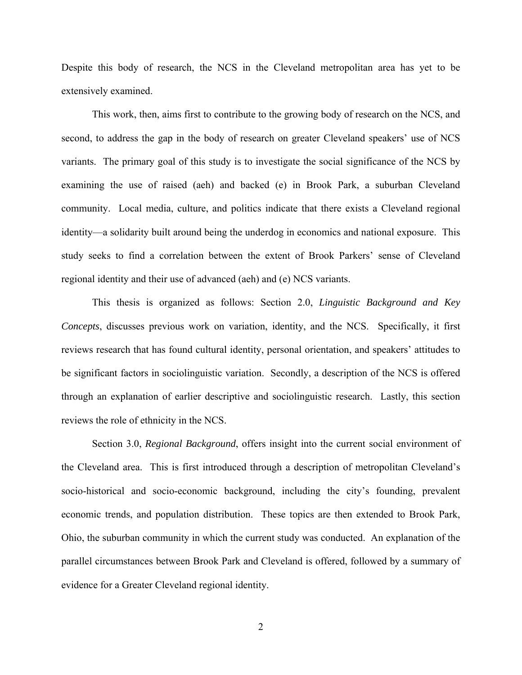Despite this body of research, the NCS in the Cleveland metropolitan area has yet to be extensively examined.

This work, then, aims first to contribute to the growing body of research on the NCS, and second, to address the gap in the body of research on greater Cleveland speakers' use of NCS variants. The primary goal of this study is to investigate the social significance of the NCS by examining the use of raised (aeh) and backed (e) in Brook Park, a suburban Cleveland community. Local media, culture, and politics indicate that there exists a Cleveland regional identity—a solidarity built around being the underdog in economics and national exposure. This study seeks to find a correlation between the extent of Brook Parkers' sense of Cleveland regional identity and their use of advanced (aeh) and (e) NCS variants.

This thesis is organized as follows: Section 2.0, *Linguistic Background and Key Concepts*, discusses previous work on variation, identity, and the NCS. Specifically, it first reviews research that has found cultural identity, personal orientation, and speakers' attitudes to be significant factors in sociolinguistic variation. Secondly, a description of the NCS is offered through an explanation of earlier descriptive and sociolinguistic research. Lastly, this section reviews the role of ethnicity in the NCS.

Section 3.0, *Regional Background*, offers insight into the current social environment of the Cleveland area. This is first introduced through a description of metropolitan Cleveland's socio-historical and socio-economic background, including the city's founding, prevalent economic trends, and population distribution. These topics are then extended to Brook Park, Ohio, the suburban community in which the current study was conducted. An explanation of the parallel circumstances between Brook Park and Cleveland is offered, followed by a summary of evidence for a Greater Cleveland regional identity.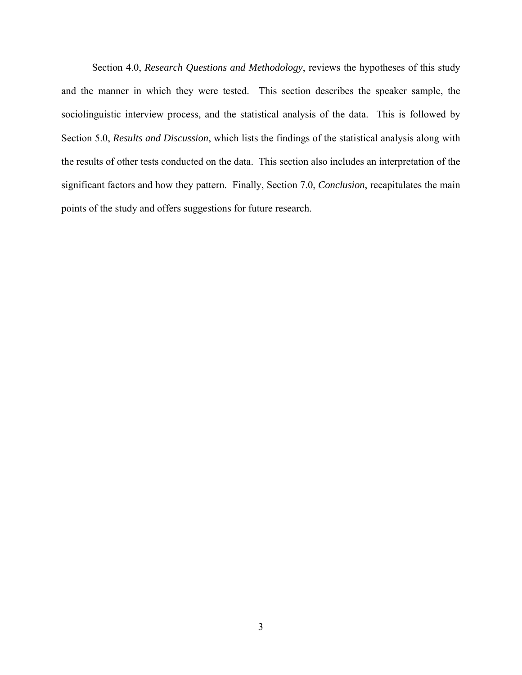Section 4.0, *Research Questions and Methodology*, reviews the hypotheses of this study and the manner in which they were tested. This section describes the speaker sample, the sociolinguistic interview process, and the statistical analysis of the data. This is followed by Section 5.0, *Results and Discussion*, which lists the findings of the statistical analysis along with the results of other tests conducted on the data. This section also includes an interpretation of the significant factors and how they pattern. Finally, Section 7.0, *Conclusion*, recapitulates the main points of the study and offers suggestions for future research.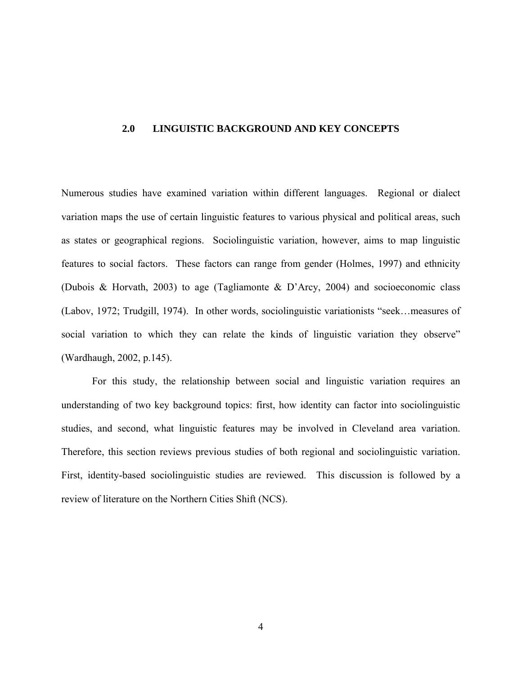### <span id="page-13-0"></span>**2.0 LINGUISTIC BACKGROUND AND KEY CONCEPTS**

Numerous studies have examined variation within different languages. Regional or dialect variation maps the use of certain linguistic features to various physical and political areas, such as states or geographical regions. Sociolinguistic variation, however, aims to map linguistic features to social factors. These factors can range from gender (Holmes, 1997) and ethnicity (Dubois & Horvath, 2003) to age (Tagliamonte & D'Arcy, 2004) and socioeconomic class (Labov, 1972; Trudgill, 1974). In other words, sociolinguistic variationists "seek…measures of social variation to which they can relate the kinds of linguistic variation they observe" (Wardhaugh, 2002, p.145).

For this study, the relationship between social and linguistic variation requires an understanding of two key background topics: first, how identity can factor into sociolinguistic studies, and second, what linguistic features may be involved in Cleveland area variation. Therefore, this section reviews previous studies of both regional and sociolinguistic variation. First, identity-based sociolinguistic studies are reviewed. This discussion is followed by a review of literature on the Northern Cities Shift (NCS).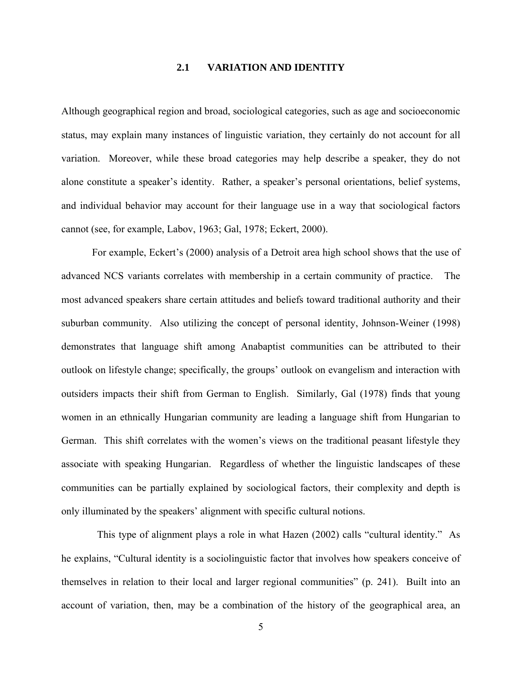## **2.1 VARIATION AND IDENTITY**

<span id="page-14-0"></span>Although geographical region and broad, sociological categories, such as age and socioeconomic status, may explain many instances of linguistic variation, they certainly do not account for all variation. Moreover, while these broad categories may help describe a speaker, they do not alone constitute a speaker's identity. Rather, a speaker's personal orientations, belief systems, and individual behavior may account for their language use in a way that sociological factors cannot (see, for example, Labov, 1963; Gal, 1978; Eckert, 2000).

For example, Eckert's (2000) analysis of a Detroit area high school shows that the use of advanced NCS variants correlates with membership in a certain community of practice. The most advanced speakers share certain attitudes and beliefs toward traditional authority and their suburban community. Also utilizing the concept of personal identity, Johnson-Weiner (1998) demonstrates that language shift among Anabaptist communities can be attributed to their outlook on lifestyle change; specifically, the groups' outlook on evangelism and interaction with outsiders impacts their shift from German to English. Similarly, Gal (1978) finds that young women in an ethnically Hungarian community are leading a language shift from Hungarian to German. This shift correlates with the women's views on the traditional peasant lifestyle they associate with speaking Hungarian. Regardless of whether the linguistic landscapes of these communities can be partially explained by sociological factors, their complexity and depth is only illuminated by the speakers' alignment with specific cultural notions.

 This type of alignment plays a role in what Hazen (2002) calls "cultural identity." As he explains, "Cultural identity is a sociolinguistic factor that involves how speakers conceive of themselves in relation to their local and larger regional communities" (p. 241). Built into an account of variation, then, may be a combination of the history of the geographical area, an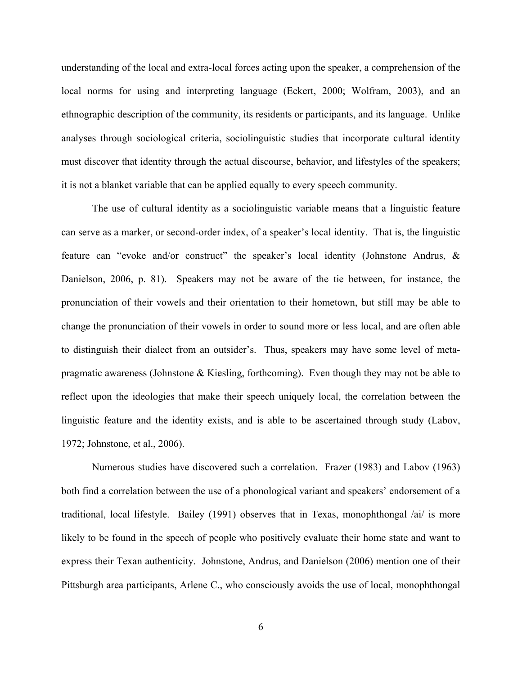understanding of the local and extra-local forces acting upon the speaker, a comprehension of the local norms for using and interpreting language (Eckert, 2000; Wolfram, 2003), and an ethnographic description of the community, its residents or participants, and its language. Unlike analyses through sociological criteria, sociolinguistic studies that incorporate cultural identity must discover that identity through the actual discourse, behavior, and lifestyles of the speakers; it is not a blanket variable that can be applied equally to every speech community.

The use of cultural identity as a sociolinguistic variable means that a linguistic feature can serve as a marker, or second-order index, of a speaker's local identity. That is, the linguistic feature can "evoke and/or construct" the speaker's local identity (Johnstone Andrus, & Danielson, 2006, p. 81). Speakers may not be aware of the tie between, for instance, the pronunciation of their vowels and their orientation to their hometown, but still may be able to change the pronunciation of their vowels in order to sound more or less local, and are often able to distinguish their dialect from an outsider's. Thus, speakers may have some level of metapragmatic awareness (Johnstone & Kiesling, forthcoming). Even though they may not be able to reflect upon the ideologies that make their speech uniquely local, the correlation between the linguistic feature and the identity exists, and is able to be ascertained through study (Labov, 1972; Johnstone, et al., 2006).

Numerous studies have discovered such a correlation. Frazer (1983) and Labov (1963) both find a correlation between the use of a phonological variant and speakers' endorsement of a traditional, local lifestyle. Bailey (1991) observes that in Texas, monophthongal /ai/ is more likely to be found in the speech of people who positively evaluate their home state and want to express their Texan authenticity. Johnstone, Andrus, and Danielson (2006) mention one of their Pittsburgh area participants, Arlene C., who consciously avoids the use of local, monophthongal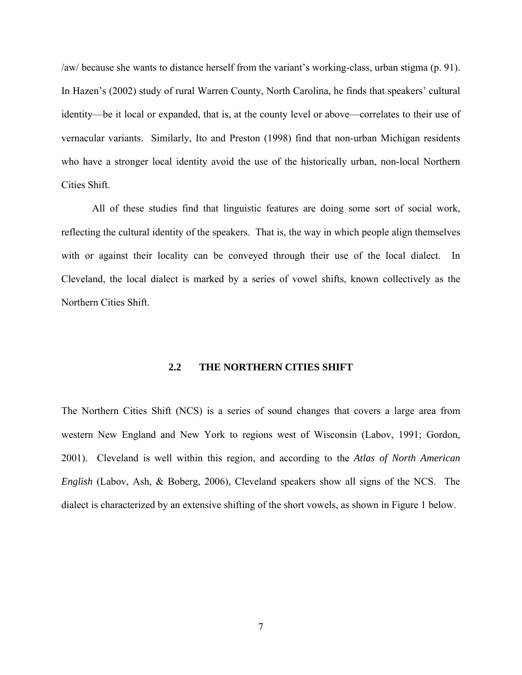<span id="page-16-0"></span>/aw/ because she wants to distance herself from the variant's working-class, urban stigma (p. 91). In Hazen's (2002) study of rural Warren County, North Carolina, he finds that speakers' cultural identity—be it local or expanded, that is, at the county level or above—correlates to their use of vernacular variants. Similarly, Ito and Preston (1998) find that non-urban Michigan residents who have a stronger local identity avoid the use of the historically urban, non-local Northern Cities Shift.

All of these studies find that linguistic features are doing some sort of social work, reflecting the cultural identity of the speakers. That is, the way in which people align themselves with or against their locality can be conveyed through their use of the local dialect. In Cleveland, the local dialect is marked by a series of vowel shifts, known collectively as the Northern Cities Shift.

## **2.2 THE NORTHERN CITIES SHIFT**

The Northern Cities Shift (NCS) is a series of sound changes that covers a large area from western New England and New York to regions west of Wisconsin (Labov, 1991; Gordon, 2001). Cleveland is well within this region, and according to the *Atlas of North American English* (Labov, Ash, & Boberg, 2006), Cleveland speakers show all signs of the NCS. The dialect is characterized by an extensive shifting of the short vowels, as shown in Figure 1 below.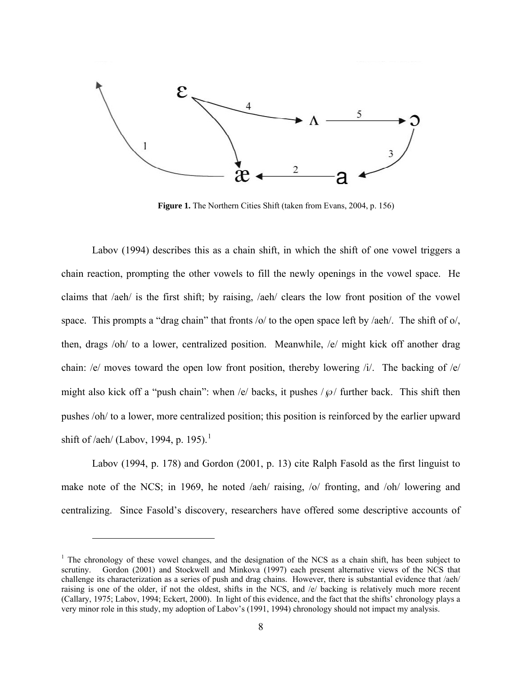<span id="page-17-0"></span>

**Figure 1.** The Northern Cities Shift (taken from Evans, 2004, p. 156)

Labov (1994) describes this as a chain shift, in which the shift of one vowel triggers a chain reaction, prompting the other vowels to fill the newly openings in the vowel space. He claims that /aeh/ is the first shift; by raising, /aeh/ clears the low front position of the vowel space. This prompts a "drag chain" that fronts /o/ to the open space left by /aeh/. The shift of o/, then, drags /oh/ to a lower, centralized position. Meanwhile, /e/ might kick off another drag chain: /e/ moves toward the open low front position, thereby lowering /i/. The backing of /e/ might also kick off a "push chain": when /e/ backs, it pushes  $/\wp$  further back. This shift then pushes /oh/ to a lower, more centralized position; this position is reinforced by the earlier upward shift of /aeh/ (Labov, [1](#page-17-1)994, p. 195).<sup>1</sup>

Labov (1994, p. 178) and Gordon (2001, p. 13) cite Ralph Fasold as the first linguist to make note of the NCS; in 1969, he noted /aeh/ raising, /o/ fronting, and /oh/ lowering and centralizing. Since Fasold's discovery, researchers have offered some descriptive accounts of

 $\overline{a}$ 

<span id="page-17-1"></span><sup>&</sup>lt;sup>1</sup> The chronology of these vowel changes, and the designation of the NCS as a chain shift, has been subject to scrutiny. Gordon (2001) and Stockwell and Minkova (1997) each present alternative views of the NCS that challenge its characterization as a series of push and drag chains. However, there is substantial evidence that /aeh/ raising is one of the older, if not the oldest, shifts in the NCS, and /e/ backing is relatively much more recent (Callary, 1975; Labov, 1994; Eckert, 2000). In light of this evidence, and the fact that the shifts' chronology plays a very minor role in this study, my adoption of Labov's (1991, 1994) chronology should not impact my analysis.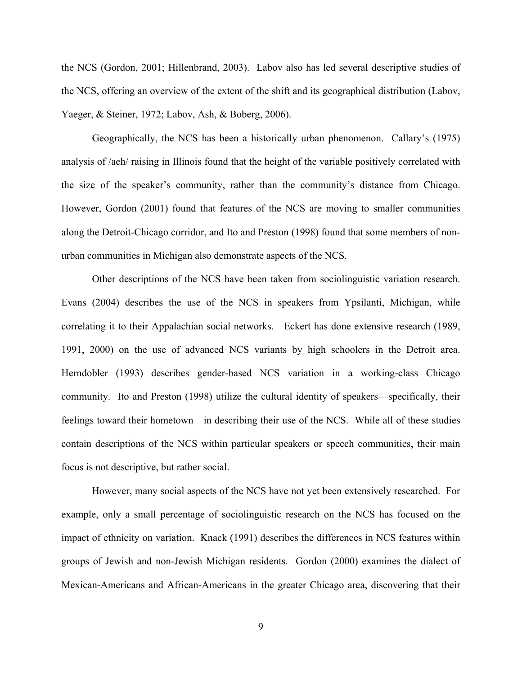the NCS (Gordon, 2001; Hillenbrand, 2003). Labov also has led several descriptive studies of the NCS, offering an overview of the extent of the shift and its geographical distribution (Labov, Yaeger, & Steiner, 1972; Labov, Ash, & Boberg, 2006).

Geographically, the NCS has been a historically urban phenomenon. Callary's (1975) analysis of /aeh/ raising in Illinois found that the height of the variable positively correlated with the size of the speaker's community, rather than the community's distance from Chicago. However, Gordon (2001) found that features of the NCS are moving to smaller communities along the Detroit-Chicago corridor, and Ito and Preston (1998) found that some members of nonurban communities in Michigan also demonstrate aspects of the NCS.

Other descriptions of the NCS have been taken from sociolinguistic variation research. Evans (2004) describes the use of the NCS in speakers from Ypsilanti, Michigan, while correlating it to their Appalachian social networks. Eckert has done extensive research (1989, 1991, 2000) on the use of advanced NCS variants by high schoolers in the Detroit area. Herndobler (1993) describes gender-based NCS variation in a working-class Chicago community. Ito and Preston (1998) utilize the cultural identity of speakers—specifically, their feelings toward their hometown—in describing their use of the NCS. While all of these studies contain descriptions of the NCS within particular speakers or speech communities, their main focus is not descriptive, but rather social.

However, many social aspects of the NCS have not yet been extensively researched. For example, only a small percentage of sociolinguistic research on the NCS has focused on the impact of ethnicity on variation. Knack (1991) describes the differences in NCS features within groups of Jewish and non-Jewish Michigan residents. Gordon (2000) examines the dialect of Mexican-Americans and African-Americans in the greater Chicago area, discovering that their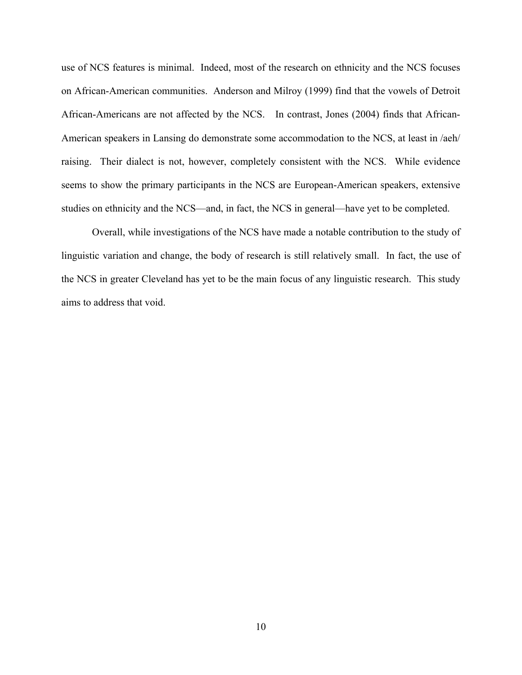use of NCS features is minimal. Indeed, most of the research on ethnicity and the NCS focuses on African-American communities. Anderson and Milroy (1999) find that the vowels of Detroit African-Americans are not affected by the NCS. In contrast, Jones (2004) finds that African-American speakers in Lansing do demonstrate some accommodation to the NCS, at least in /aeh/ raising. Their dialect is not, however, completely consistent with the NCS. While evidence seems to show the primary participants in the NCS are European-American speakers, extensive studies on ethnicity and the NCS—and, in fact, the NCS in general—have yet to be completed.

Overall, while investigations of the NCS have made a notable contribution to the study of linguistic variation and change, the body of research is still relatively small. In fact, the use of the NCS in greater Cleveland has yet to be the main focus of any linguistic research. This study aims to address that void.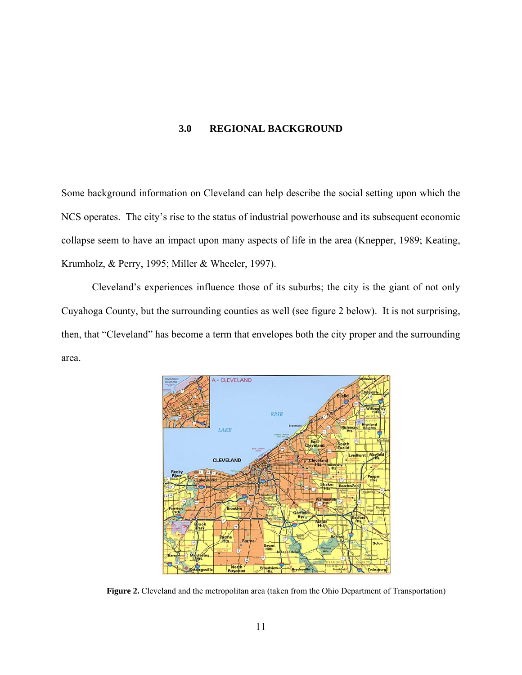## **3.0 REGIONAL BACKGROUND**

<span id="page-20-1"></span><span id="page-20-0"></span>Some background information on Cleveland can help describe the social setting upon which the NCS operates. The city's rise to the status of industrial powerhouse and its subsequent economic collapse seem to have an impact upon many aspects of life in the area (Knepper, 1989; Keating, Krumholz, & Perry, 1995; Miller & Wheeler, 1997).

Cleveland's experiences influence those of its suburbs; the city is the giant of not only Cuyahoga County, but the surrounding counties as well (see figure 2 below). It is not surprising, then, that "Cleveland" has become a term that envelopes both the city proper and the surrounding area.



Figure 2. Cleveland and the metropolitan area (taken from the Ohio Department of Transportation)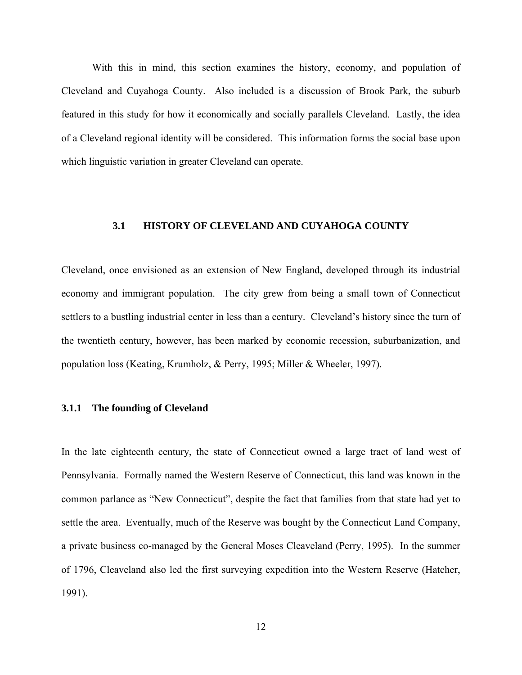<span id="page-21-0"></span>With this in mind, this section examines the history, economy, and population of Cleveland and Cuyahoga County. Also included is a discussion of Brook Park, the suburb featured in this study for how it economically and socially parallels Cleveland. Lastly, the idea of a Cleveland regional identity will be considered. This information forms the social base upon which linguistic variation in greater Cleveland can operate.

## **3.1 HISTORY OF CLEVELAND AND CUYAHOGA COUNTY**

Cleveland, once envisioned as an extension of New England, developed through its industrial economy and immigrant population. The city grew from being a small town of Connecticut settlers to a bustling industrial center in less than a century. Cleveland's history since the turn of the twentieth century, however, has been marked by economic recession, suburbanization, and population loss (Keating, Krumholz, & Perry, 1995; Miller & Wheeler, 1997).

## **3.1.1 The founding of Cleveland**

In the late eighteenth century, the state of Connecticut owned a large tract of land west of Pennsylvania. Formally named the Western Reserve of Connecticut, this land was known in the common parlance as "New Connecticut", despite the fact that families from that state had yet to settle the area. Eventually, much of the Reserve was bought by the Connecticut Land Company, a private business co-managed by the General Moses Cleaveland (Perry, 1995). In the summer of 1796, Cleaveland also led the first surveying expedition into the Western Reserve (Hatcher, 1991).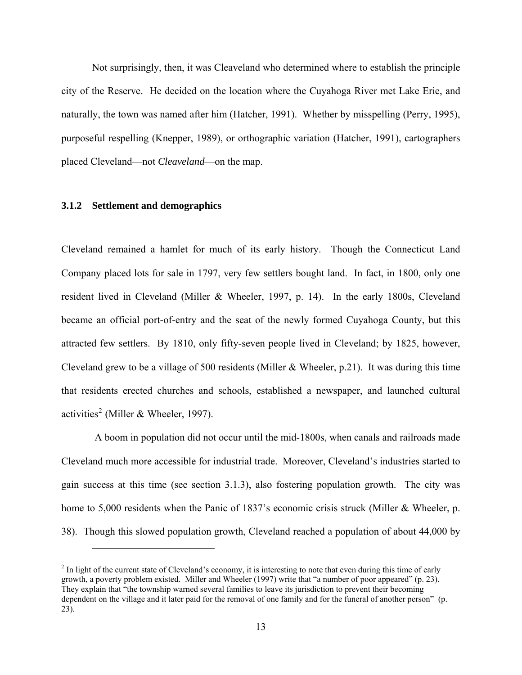<span id="page-22-0"></span>Not surprisingly, then, it was Cleaveland who determined where to establish the principle city of the Reserve. He decided on the location where the Cuyahoga River met Lake Erie, and naturally, the town was named after him (Hatcher, 1991). Whether by misspelling (Perry, 1995), purposeful respelling (Knepper, 1989), or orthographic variation (Hatcher, 1991), cartographers placed Cleveland—not *Cleaveland*—on the map.

### **3.1.2 Settlement and demographics**

 $\overline{a}$ 

Cleveland remained a hamlet for much of its early history. Though the Connecticut Land Company placed lots for sale in 1797, very few settlers bought land. In fact, in 1800, only one resident lived in Cleveland (Miller & Wheeler, 1997, p. 14). In the early 1800s, Cleveland became an official port-of-entry and the seat of the newly formed Cuyahoga County, but this attracted few settlers. By 1810, only fifty-seven people lived in Cleveland; by 1825, however, Cleveland grew to be a village of 500 residents (Miller & Wheeler, p.21). It was during this time that residents erected churches and schools, established a newspaper, and launched cultural activities<sup>[2](#page-22-1)</sup> (Miller & Wheeler, 1997).

 A boom in population did not occur until the mid-1800s, when canals and railroads made Cleveland much more accessible for industrial trade. Moreover, Cleveland's industries started to gain success at this time (see section 3.1.3), also fostering population growth. The city was home to 5,000 residents when the Panic of 1837's economic crisis struck (Miller & Wheeler, p. 38). Though this slowed population growth, Cleveland reached a population of about 44,000 by

<span id="page-22-1"></span> $2<sup>2</sup>$  In light of the current state of Cleveland's economy, it is interesting to note that even during this time of early growth, a poverty problem existed. Miller and Wheeler (1997) write that "a number of poor appeared" (p. 23). They explain that "the township warned several families to leave its jurisdiction to prevent their becoming dependent on the village and it later paid for the removal of one family and for the funeral of another person" (p. 23).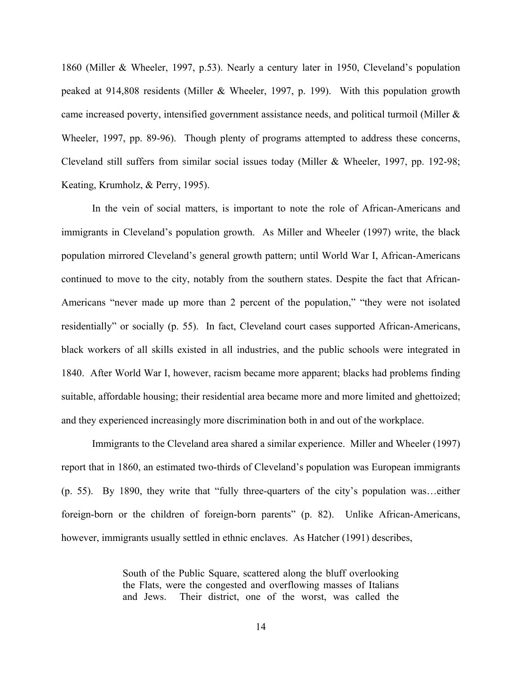1860 (Miller & Wheeler, 1997, p.53). Nearly a century later in 1950, Cleveland's population peaked at 914,808 residents (Miller & Wheeler, 1997, p. 199). With this population growth came increased poverty, intensified government assistance needs, and political turmoil (Miller & Wheeler, 1997, pp. 89-96). Though plenty of programs attempted to address these concerns, Cleveland still suffers from similar social issues today (Miller & Wheeler, 1997, pp. 192-98; Keating, Krumholz, & Perry, 1995).

In the vein of social matters, is important to note the role of African-Americans and immigrants in Cleveland's population growth. As Miller and Wheeler (1997) write, the black population mirrored Cleveland's general growth pattern; until World War I, African-Americans continued to move to the city, notably from the southern states. Despite the fact that African-Americans "never made up more than 2 percent of the population," "they were not isolated residentially" or socially (p. 55). In fact, Cleveland court cases supported African-Americans, black workers of all skills existed in all industries, and the public schools were integrated in 1840. After World War I, however, racism became more apparent; blacks had problems finding suitable, affordable housing; their residential area became more and more limited and ghettoized; and they experienced increasingly more discrimination both in and out of the workplace.

Immigrants to the Cleveland area shared a similar experience. Miller and Wheeler (1997) report that in 1860, an estimated two-thirds of Cleveland's population was European immigrants (p. 55). By 1890, they write that "fully three-quarters of the city's population was…either foreign-born or the children of foreign-born parents" (p. 82). Unlike African-Americans, however, immigrants usually settled in ethnic enclaves. As Hatcher (1991) describes,

> South of the Public Square, scattered along the bluff overlooking the Flats, were the congested and overflowing masses of Italians and Jews. Their district, one of the worst, was called the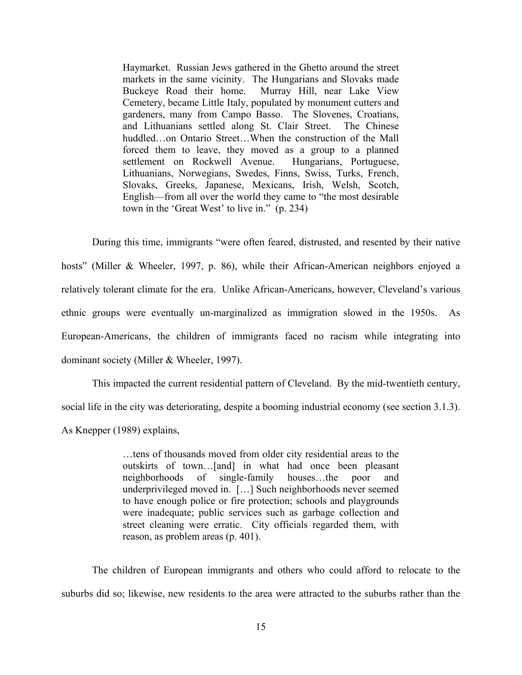Haymarket. Russian Jews gathered in the Ghetto around the street markets in the same vicinity. The Hungarians and Slovaks made Buckeye Road their home. Murray Hill, near Lake View Cemetery, became Little Italy, populated by monument cutters and gardeners, many from Campo Basso. The Slovenes, Croatians, and Lithuanians settled along St. Clair Street. The Chinese huddled…on Ontario Street…When the construction of the Mall forced them to leave, they moved as a group to a planned settlement on Rockwell Avenue. Hungarians, Portuguese, Lithuanians, Norwegians, Swedes, Finns, Swiss, Turks, French, Slovaks, Greeks, Japanese, Mexicans, Irish, Welsh, Scotch, English—from all over the world they came to "the most desirable town in the 'Great West' to live in." (p. 234)

During this time, immigrants "were often feared, distrusted, and resented by their native hosts" (Miller & Wheeler, 1997, p. 86), while their African-American neighbors enjoyed a relatively tolerant climate for the era. Unlike African-Americans, however, Cleveland's various ethnic groups were eventually un-marginalized as immigration slowed in the 1950s. As European-Americans, the children of immigrants faced no racism while integrating into dominant society (Miller & Wheeler, 1997).

This impacted the current residential pattern of Cleveland. By the mid-twentieth century, social life in the city was deteriorating, despite a booming industrial economy (see section 3.1.3).

As Knepper (1989) explains,

…tens of thousands moved from older city residential areas to the outskirts of town…[and] in what had once been pleasant neighborhoods of single-family houses…the poor and underprivileged moved in. […] Such neighborhoods never seemed to have enough police or fire protection; schools and playgrounds were inadequate; public services such as garbage collection and street cleaning were erratic. City officials regarded them, with reason, as problem areas (p. 401).

The children of European immigrants and others who could afford to relocate to the suburbs did so; likewise, new residents to the area were attracted to the suburbs rather than the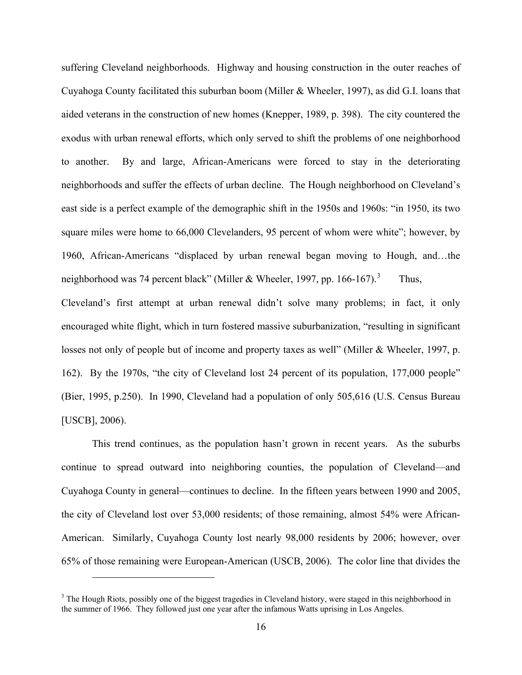suffering Cleveland neighborhoods. Highway and housing construction in the outer reaches of Cuyahoga County facilitated this suburban boom (Miller & Wheeler, 1997), as did G.I. loans that aided veterans in the construction of new homes (Knepper, 1989, p. 398). The city countered the exodus with urban renewal efforts, which only served to shift the problems of one neighborhood to another. By and large, African-Americans were forced to stay in the deteriorating neighborhoods and suffer the effects of urban decline. The Hough neighborhood on Cleveland's east side is a perfect example of the demographic shift in the 1950s and 1960s: "in 1950, its two square miles were home to 66,000 Clevelanders, 95 percent of whom were white"; however, by 1960, African-Americans "displaced by urban renewal began moving to Hough, and…the neighborhood was 74 percent black" (Miller & Wheeler, 1997, pp. 166-167).<sup>[3](#page-25-0)</sup> Thus,

Cleveland's first attempt at urban renewal didn't solve many problems; in fact, it only encouraged white flight, which in turn fostered massive suburbanization, "resulting in significant losses not only of people but of income and property taxes as well" (Miller & Wheeler, 1997, p. 162). By the 1970s, "the city of Cleveland lost 24 percent of its population, 177,000 people" (Bier, 1995, p.250). In 1990, Cleveland had a population of only 505,616 (U.S. Census Bureau [USCB], 2006).

This trend continues, as the population hasn't grown in recent years. As the suburbs continue to spread outward into neighboring counties, the population of Cleveland—and Cuyahoga County in general—continues to decline. In the fifteen years between 1990 and 2005, the city of Cleveland lost over 53,000 residents; of those remaining, almost 54% were African-American. Similarly, Cuyahoga County lost nearly 98,000 residents by 2006; however, over 65% of those remaining were European-American (USCB, 2006). The color line that divides the

 $\overline{a}$ 

<span id="page-25-0"></span><sup>&</sup>lt;sup>3</sup> The Hough Riots, possibly one of the biggest tragedies in Cleveland history, were staged in this neighborhood in the summer of 1966. They followed just one year after the infamous Watts uprising in Los Angeles.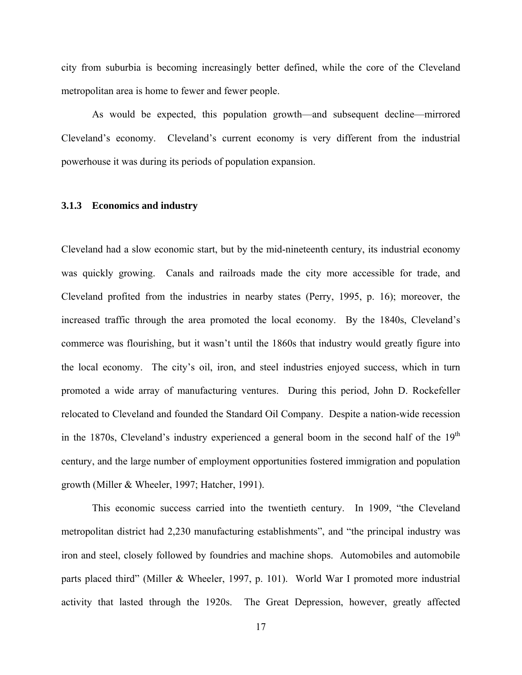<span id="page-26-0"></span>city from suburbia is becoming increasingly better defined, while the core of the Cleveland metropolitan area is home to fewer and fewer people.

As would be expected, this population growth—and subsequent decline—mirrored Cleveland's economy. Cleveland's current economy is very different from the industrial powerhouse it was during its periods of population expansion.

#### **3.1.3 Economics and industry**

Cleveland had a slow economic start, but by the mid-nineteenth century, its industrial economy was quickly growing. Canals and railroads made the city more accessible for trade, and Cleveland profited from the industries in nearby states (Perry, 1995, p. 16); moreover, the increased traffic through the area promoted the local economy. By the 1840s, Cleveland's commerce was flourishing, but it wasn't until the 1860s that industry would greatly figure into the local economy. The city's oil, iron, and steel industries enjoyed success, which in turn promoted a wide array of manufacturing ventures. During this period, John D. Rockefeller relocated to Cleveland and founded the Standard Oil Company. Despite a nation-wide recession in the 1870s, Cleveland's industry experienced a general boom in the second half of the  $19<sup>th</sup>$ century, and the large number of employment opportunities fostered immigration and population growth (Miller & Wheeler, 1997; Hatcher, 1991).

This economic success carried into the twentieth century. In 1909, "the Cleveland metropolitan district had 2,230 manufacturing establishments", and "the principal industry was iron and steel, closely followed by foundries and machine shops. Automobiles and automobile parts placed third" (Miller & Wheeler, 1997, p. 101). World War I promoted more industrial activity that lasted through the 1920s. The Great Depression, however, greatly affected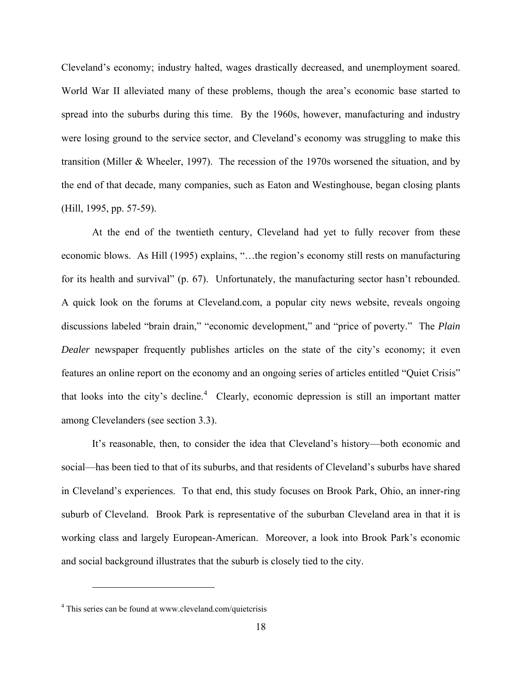Cleveland's economy; industry halted, wages drastically decreased, and unemployment soared. World War II alleviated many of these problems, though the area's economic base started to spread into the suburbs during this time. By the 1960s, however, manufacturing and industry were losing ground to the service sector, and Cleveland's economy was struggling to make this transition (Miller & Wheeler, 1997). The recession of the 1970s worsened the situation, and by the end of that decade, many companies, such as Eaton and Westinghouse, began closing plants (Hill, 1995, pp. 57-59).

At the end of the twentieth century, Cleveland had yet to fully recover from these economic blows. As Hill (1995) explains, "…the region's economy still rests on manufacturing for its health and survival" (p. 67). Unfortunately, the manufacturing sector hasn't rebounded. A quick look on the forums at Cleveland.com, a popular city news website, reveals ongoing discussions labeled "brain drain," "economic development," and "price of poverty." The *Plain Dealer* newspaper frequently publishes articles on the state of the city's economy; it even features an online report on the economy and an ongoing series of articles entitled "Quiet Crisis" that looks into the city's decline.<sup>[4](#page-27-0)</sup> Clearly, economic depression is still an important matter among Clevelanders (see section 3.3).

It's reasonable, then, to consider the idea that Cleveland's history—both economic and social—has been tied to that of its suburbs, and that residents of Cleveland's suburbs have shared in Cleveland's experiences. To that end, this study focuses on Brook Park, Ohio, an inner-ring suburb of Cleveland. Brook Park is representative of the suburban Cleveland area in that it is working class and largely European-American. Moreover, a look into Brook Park's economic and social background illustrates that the suburb is closely tied to the city.

 $\overline{a}$ 

<span id="page-27-0"></span><sup>&</sup>lt;sup>4</sup> This series can be found at www.cleveland.com/quietcrisis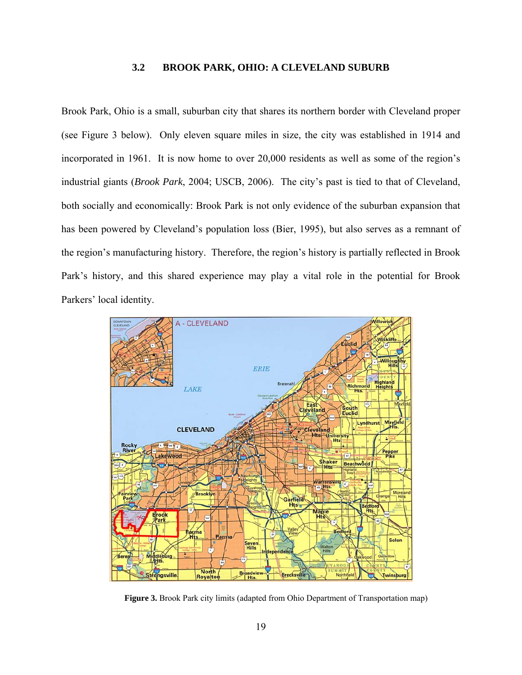## **3.2 BROOK PARK, OHIO: A CLEVELAND SUBURB**

<span id="page-28-1"></span><span id="page-28-0"></span>Brook Park, Ohio is a small, suburban city that shares its northern border with Cleveland proper (see Figure 3 below). Only eleven square miles in size, the city was established in 1914 and incorporated in 1961. It is now home to over 20,000 residents as well as some of the region's industrial giants (*Brook Park*, 2004; USCB, 2006). The city's past is tied to that of Cleveland, both socially and economically: Brook Park is not only evidence of the suburban expansion that has been powered by Cleveland's population loss (Bier, 1995), but also serves as a remnant of the region's manufacturing history. Therefore, the region's history is partially reflected in Brook Park's history, and this shared experience may play a vital role in the potential for Brook Parkers' local identity.



**Figure 3.** Brook Park city limits (adapted from Ohio Department of Transportation map)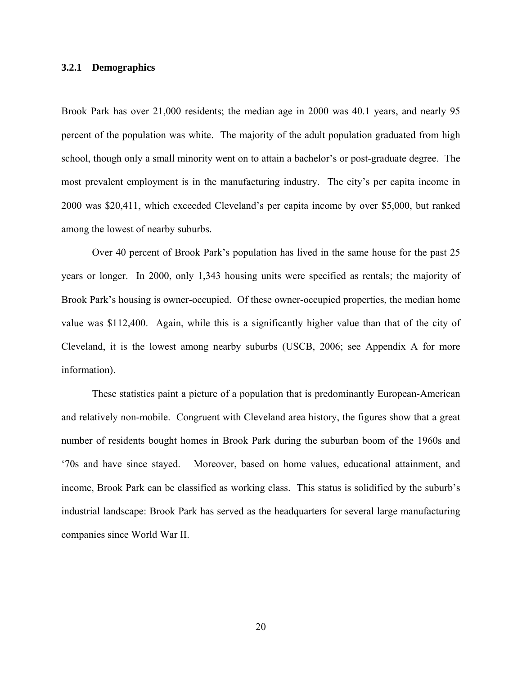### <span id="page-29-0"></span>**3.2.1 Demographics**

Brook Park has over 21,000 residents; the median age in 2000 was 40.1 years, and nearly 95 percent of the population was white. The majority of the adult population graduated from high school, though only a small minority went on to attain a bachelor's or post-graduate degree. The most prevalent employment is in the manufacturing industry. The city's per capita income in 2000 was \$20,411, which exceeded Cleveland's per capita income by over \$5,000, but ranked among the lowest of nearby suburbs.

Over 40 percent of Brook Park's population has lived in the same house for the past 25 years or longer. In 2000, only 1,343 housing units were specified as rentals; the majority of Brook Park's housing is owner-occupied. Of these owner-occupied properties, the median home value was \$112,400. Again, while this is a significantly higher value than that of the city of Cleveland, it is the lowest among nearby suburbs (USCB, 2006; see Appendix A for more information).

These statistics paint a picture of a population that is predominantly European-American and relatively non-mobile. Congruent with Cleveland area history, the figures show that a great number of residents bought homes in Brook Park during the suburban boom of the 1960s and '70s and have since stayed. Moreover, based on home values, educational attainment, and income, Brook Park can be classified as working class. This status is solidified by the suburb's industrial landscape: Brook Park has served as the headquarters for several large manufacturing companies since World War II.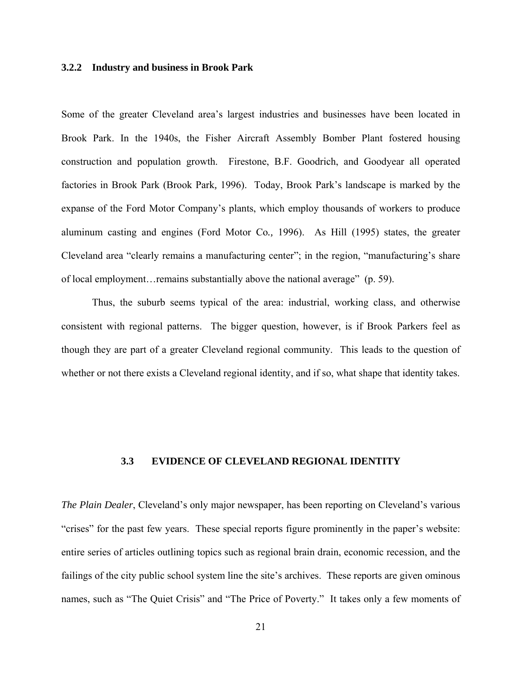### <span id="page-30-0"></span>**3.2.2 Industry and business in Brook Park**

Some of the greater Cleveland area's largest industries and businesses have been located in Brook Park. In the 1940s, the Fisher Aircraft Assembly Bomber Plant fostered housing construction and population growth. Firestone, B.F. Goodrich, and Goodyear all operated factories in Brook Park (Brook Park*,* 1996). Today, Brook Park's landscape is marked by the expanse of the Ford Motor Company's plants, which employ thousands of workers to produce aluminum casting and engines (Ford Motor Co*.,* 1996). As Hill (1995) states, the greater Cleveland area "clearly remains a manufacturing center"; in the region, "manufacturing's share of local employment…remains substantially above the national average" (p. 59).

Thus, the suburb seems typical of the area: industrial, working class, and otherwise consistent with regional patterns. The bigger question, however, is if Brook Parkers feel as though they are part of a greater Cleveland regional community. This leads to the question of whether or not there exists a Cleveland regional identity, and if so, what shape that identity takes.

## **3.3 EVIDENCE OF CLEVELAND REGIONAL IDENTITY**

*The Plain Dealer*, Cleveland's only major newspaper, has been reporting on Cleveland's various "crises" for the past few years. These special reports figure prominently in the paper's website: entire series of articles outlining topics such as regional brain drain, economic recession, and the failings of the city public school system line the site's archives. These reports are given ominous names, such as "The Quiet Crisis" and "The Price of Poverty." It takes only a few moments of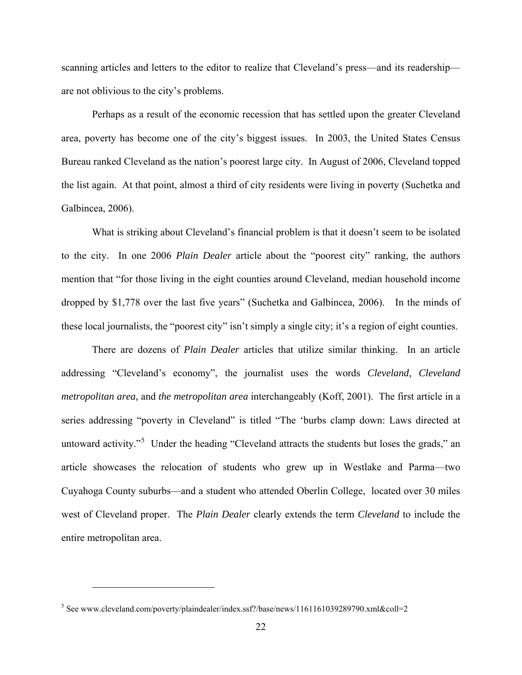scanning articles and letters to the editor to realize that Cleveland's press—and its readership are not oblivious to the city's problems.

Perhaps as a result of the economic recession that has settled upon the greater Cleveland area, poverty has become one of the city's biggest issues. In 2003, the United States Census Bureau ranked Cleveland as the nation's poorest large city. In August of 2006, Cleveland topped the list again. At that point, almost a third of city residents were living in poverty (Suchetka and Galbincea, 2006).

What is striking about Cleveland's financial problem is that it doesn't seem to be isolated to the city. In one 2006 *Plain Dealer* article about the "poorest city" ranking, the authors mention that "for those living in the eight counties around Cleveland, median household income dropped by \$1,778 over the last five years" (Suchetka and Galbincea, 2006). In the minds of these local journalists, the "poorest city" isn't simply a single city; it's a region of eight counties.

There are dozens of *Plain Dealer* articles that utilize similar thinking. In an article addressing "Cleveland's economy", the journalist uses the words *Cleveland, Cleveland metropolitan area,* and *the metropolitan area* interchangeably (Koff, 2001). The first article in a series addressing "poverty in Cleveland" is titled "The 'burbs clamp down: Laws directed at untoward activity."<sup>[5](#page-31-0)</sup> Under the heading "Cleveland attracts the students but loses the grads," an article showcases the relocation of students who grew up in Westlake and Parma—two Cuyahoga County suburbs—and a student who attended Oberlin College, located over 30 miles west of Cleveland proper. The *Plain Dealer* clearly extends the term *Cleveland* to include the entire metropolitan area.

 $\overline{a}$ 

<span id="page-31-0"></span><sup>&</sup>lt;sup>5</sup> See www.cleveland.com/poverty/plaindealer/index.ssf?/base/news/1161161039289790.xml&coll=2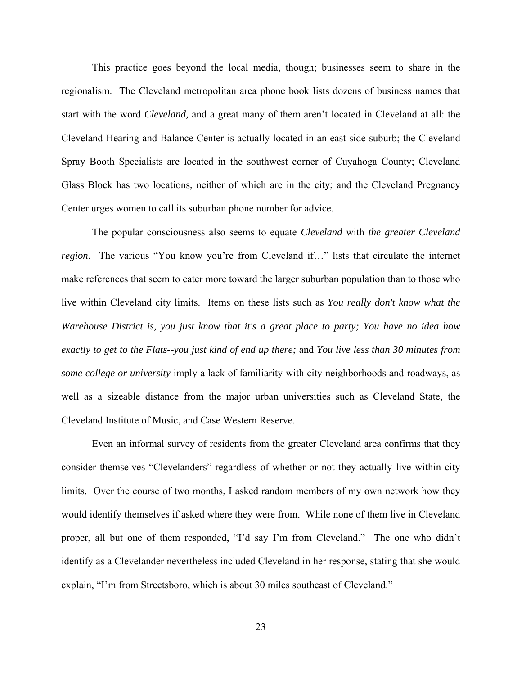This practice goes beyond the local media, though; businesses seem to share in the regionalism. The Cleveland metropolitan area phone book lists dozens of business names that start with the word *Cleveland,* and a great many of them aren't located in Cleveland at all: the Cleveland Hearing and Balance Center is actually located in an east side suburb; the Cleveland Spray Booth Specialists are located in the southwest corner of Cuyahoga County; Cleveland Glass Block has two locations, neither of which are in the city; and the Cleveland Pregnancy Center urges women to call its suburban phone number for advice.

The popular consciousness also seems to equate *Cleveland* with *the greater Cleveland region*. The various "You know you're from Cleveland if…" lists that circulate the internet make references that seem to cater more toward the larger suburban population than to those who live within Cleveland city limits. Items on these lists such as *You really don't know what the Warehouse District is, you just know that it's a great place to party; You have no idea how exactly to get to the Flats--you just kind of end up there;* and *You live less than 30 minutes from some college or university* imply a lack of familiarity with city neighborhoods and roadways, as well as a sizeable distance from the major urban universities such as Cleveland State, the Cleveland Institute of Music, and Case Western Reserve.

Even an informal survey of residents from the greater Cleveland area confirms that they consider themselves "Clevelanders" regardless of whether or not they actually live within city limits. Over the course of two months, I asked random members of my own network how they would identify themselves if asked where they were from. While none of them live in Cleveland proper, all but one of them responded, "I'd say I'm from Cleveland." The one who didn't identify as a Clevelander nevertheless included Cleveland in her response, stating that she would explain, "I'm from Streetsboro, which is about 30 miles southeast of Cleveland."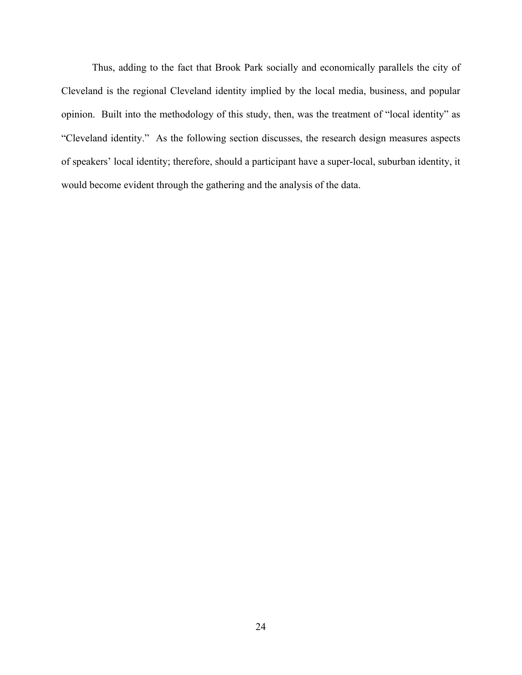Thus, adding to the fact that Brook Park socially and economically parallels the city of Cleveland is the regional Cleveland identity implied by the local media, business, and popular opinion. Built into the methodology of this study, then, was the treatment of "local identity" as "Cleveland identity." As the following section discusses, the research design measures aspects of speakers' local identity; therefore, should a participant have a super-local, suburban identity, it would become evident through the gathering and the analysis of the data.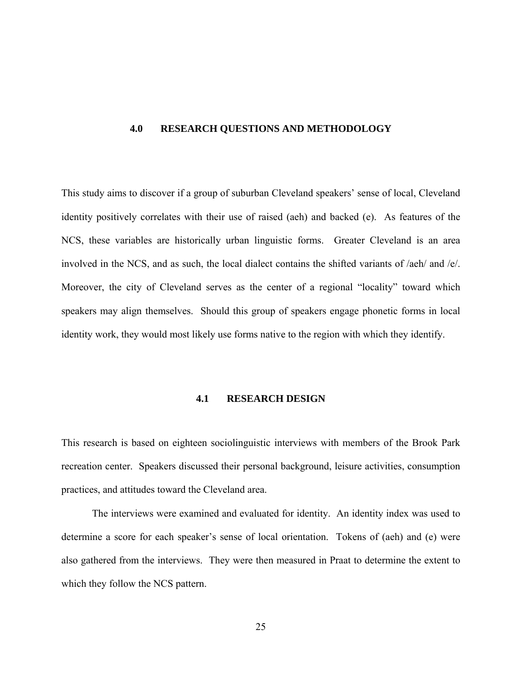### <span id="page-34-0"></span>**4.0 RESEARCH QUESTIONS AND METHODOLOGY**

This study aims to discover if a group of suburban Cleveland speakers' sense of local, Cleveland identity positively correlates with their use of raised (aeh) and backed (e). As features of the NCS, these variables are historically urban linguistic forms. Greater Cleveland is an area involved in the NCS, and as such, the local dialect contains the shifted variants of /aeh/ and /e/. Moreover, the city of Cleveland serves as the center of a regional "locality" toward which speakers may align themselves. Should this group of speakers engage phonetic forms in local identity work, they would most likely use forms native to the region with which they identify.

### **4.1 RESEARCH DESIGN**

This research is based on eighteen sociolinguistic interviews with members of the Brook Park recreation center. Speakers discussed their personal background, leisure activities, consumption practices, and attitudes toward the Cleveland area.

The interviews were examined and evaluated for identity. An identity index was used to determine a score for each speaker's sense of local orientation. Tokens of (aeh) and (e) were also gathered from the interviews. They were then measured in Praat to determine the extent to which they follow the NCS pattern.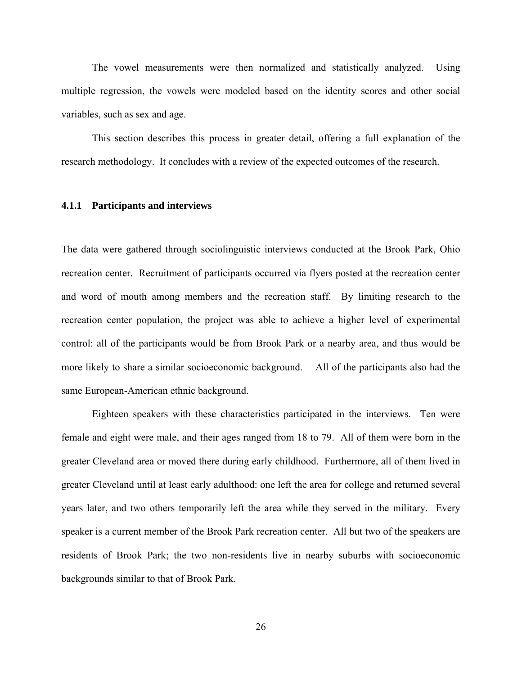<span id="page-35-0"></span>The vowel measurements were then normalized and statistically analyzed. Using multiple regression, the vowels were modeled based on the identity scores and other social variables, such as sex and age.

This section describes this process in greater detail, offering a full explanation of the research methodology. It concludes with a review of the expected outcomes of the research.

### **4.1.1 Participants and interviews**

The data were gathered through sociolinguistic interviews conducted at the Brook Park, Ohio recreation center. Recruitment of participants occurred via flyers posted at the recreation center and word of mouth among members and the recreation staff. By limiting research to the recreation center population, the project was able to achieve a higher level of experimental control: all of the participants would be from Brook Park or a nearby area, and thus would be more likely to share a similar socioeconomic background. All of the participants also had the same European-American ethnic background.

 Eighteen speakers with these characteristics participated in the interviews. Ten were female and eight were male, and their ages ranged from 18 to 79. All of them were born in the greater Cleveland area or moved there during early childhood. Furthermore, all of them lived in greater Cleveland until at least early adulthood: one left the area for college and returned several years later, and two others temporarily left the area while they served in the military. Every speaker is a current member of the Brook Park recreation center. All but two of the speakers are residents of Brook Park; the two non-residents live in nearby suburbs with socioeconomic backgrounds similar to that of Brook Park.

26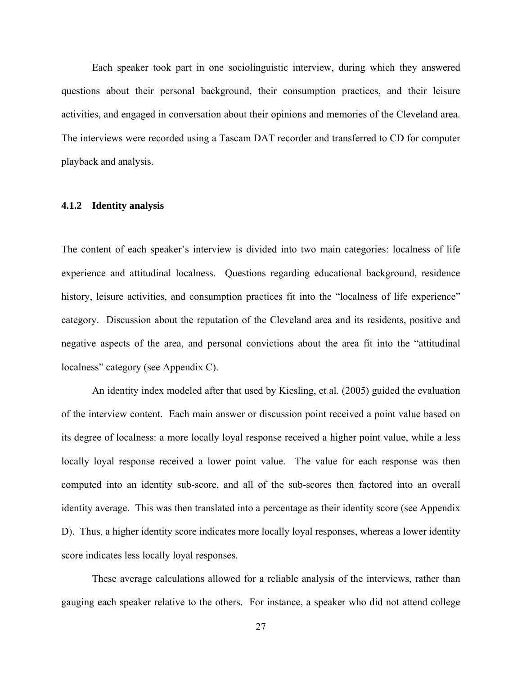Each speaker took part in one sociolinguistic interview, during which they answered questions about their personal background, their consumption practices, and their leisure activities, and engaged in conversation about their opinions and memories of the Cleveland area. The interviews were recorded using a Tascam DAT recorder and transferred to CD for computer playback and analysis.

#### **4.1.2 Identity analysis**

The content of each speaker's interview is divided into two main categories: localness of life experience and attitudinal localness. Questions regarding educational background, residence history, leisure activities, and consumption practices fit into the "localness of life experience" category. Discussion about the reputation of the Cleveland area and its residents, positive and negative aspects of the area, and personal convictions about the area fit into the "attitudinal localness" category (see Appendix C).

 An identity index modeled after that used by Kiesling, et al. (2005) guided the evaluation of the interview content. Each main answer or discussion point received a point value based on its degree of localness: a more locally loyal response received a higher point value, while a less locally loyal response received a lower point value. The value for each response was then computed into an identity sub-score, and all of the sub-scores then factored into an overall identity average. This was then translated into a percentage as their identity score (see Appendix D). Thus, a higher identity score indicates more locally loyal responses, whereas a lower identity score indicates less locally loyal responses.

These average calculations allowed for a reliable analysis of the interviews, rather than gauging each speaker relative to the others. For instance, a speaker who did not attend college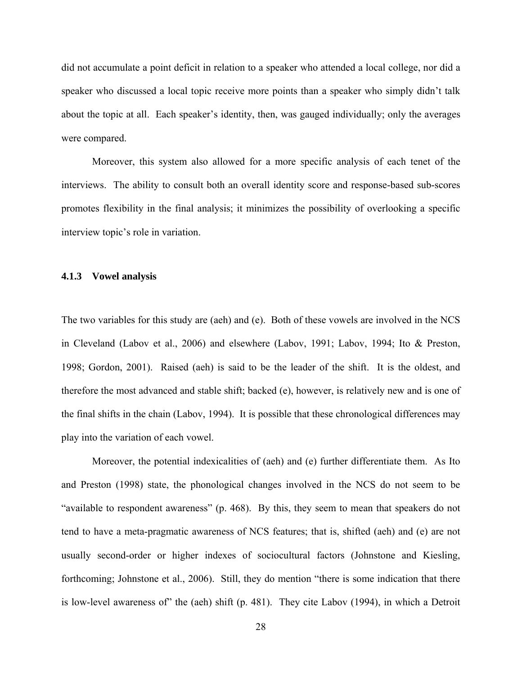did not accumulate a point deficit in relation to a speaker who attended a local college, nor did a speaker who discussed a local topic receive more points than a speaker who simply didn't talk about the topic at all. Each speaker's identity, then, was gauged individually; only the averages were compared.

Moreover, this system also allowed for a more specific analysis of each tenet of the interviews. The ability to consult both an overall identity score and response-based sub-scores promotes flexibility in the final analysis; it minimizes the possibility of overlooking a specific interview topic's role in variation.

#### **4.1.3 Vowel analysis**

The two variables for this study are (aeh) and (e). Both of these vowels are involved in the NCS in Cleveland (Labov et al., 2006) and elsewhere (Labov, 1991; Labov, 1994; Ito & Preston, 1998; Gordon, 2001). Raised (aeh) is said to be the leader of the shift. It is the oldest, and therefore the most advanced and stable shift; backed (e), however, is relatively new and is one of the final shifts in the chain (Labov, 1994). It is possible that these chronological differences may play into the variation of each vowel.

Moreover, the potential indexicalities of (aeh) and (e) further differentiate them. As Ito and Preston (1998) state, the phonological changes involved in the NCS do not seem to be "available to respondent awareness" (p. 468). By this, they seem to mean that speakers do not tend to have a meta-pragmatic awareness of NCS features; that is, shifted (aeh) and (e) are not usually second-order or higher indexes of sociocultural factors (Johnstone and Kiesling, forthcoming; Johnstone et al., 2006). Still, they do mention "there is some indication that there is low-level awareness of" the (aeh) shift (p. 481). They cite Labov (1994), in which a Detroit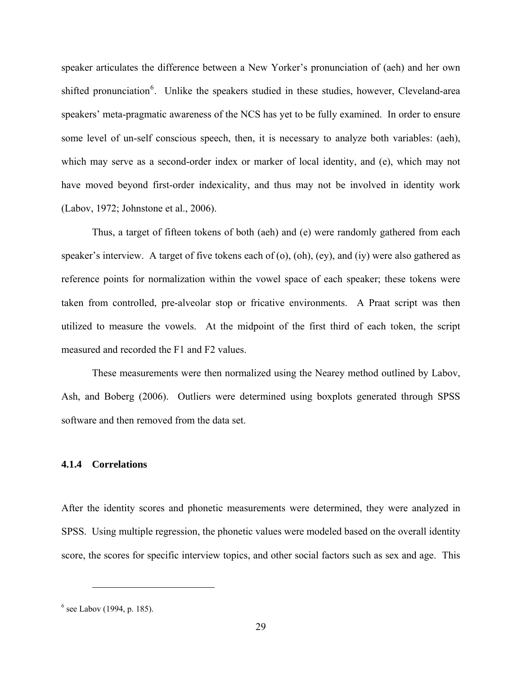speaker articulates the difference between a New Yorker's pronunciation of (aeh) and her own shifted pronunciation<sup>[6](#page-38-0)</sup>. Unlike the speakers studied in these studies, however, Cleveland-area speakers' meta-pragmatic awareness of the NCS has yet to be fully examined. In order to ensure some level of un-self conscious speech, then, it is necessary to analyze both variables: (aeh), which may serve as a second-order index or marker of local identity, and (e), which may not have moved beyond first-order indexicality, and thus may not be involved in identity work (Labov, 1972; Johnstone et al., 2006).

Thus, a target of fifteen tokens of both (aeh) and (e) were randomly gathered from each speaker's interview. A target of five tokens each of (o), (oh), (ey), and (iy) were also gathered as reference points for normalization within the vowel space of each speaker; these tokens were taken from controlled, pre-alveolar stop or fricative environments. A Praat script was then utilized to measure the vowels. At the midpoint of the first third of each token, the script measured and recorded the F1 and F2 values.

These measurements were then normalized using the Nearey method outlined by Labov, Ash, and Boberg (2006). Outliers were determined using boxplots generated through SPSS software and then removed from the data set.

#### **4.1.4 Correlations**

After the identity scores and phonetic measurements were determined, they were analyzed in SPSS. Using multiple regression, the phonetic values were modeled based on the overall identity score, the scores for specific interview topics, and other social factors such as sex and age. This

 $\overline{a}$ 

<span id="page-38-0"></span> $<sup>6</sup>$  see Labov (1994, p. 185).</sup>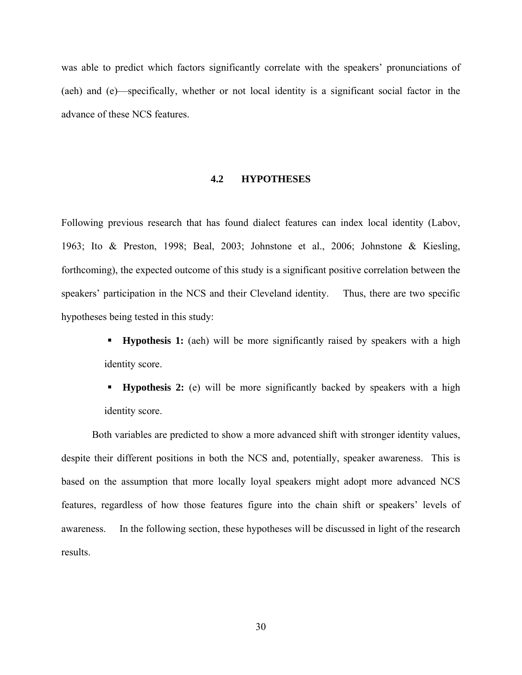was able to predict which factors significantly correlate with the speakers' pronunciations of (aeh) and (e)—specifically, whether or not local identity is a significant social factor in the advance of these NCS features.

#### **4.2 HYPOTHESES**

Following previous research that has found dialect features can index local identity (Labov, 1963; Ito & Preston, 1998; Beal, 2003; Johnstone et al., 2006; Johnstone & Kiesling, forthcoming), the expected outcome of this study is a significant positive correlation between the speakers' participation in the NCS and their Cleveland identity. Thus, there are two specific hypotheses being tested in this study:

- **Hypothesis 1:** (aeh) will be more significantly raised by speakers with a high identity score.
- **Hypothesis 2:** (e) will be more significantly backed by speakers with a high identity score.

Both variables are predicted to show a more advanced shift with stronger identity values, despite their different positions in both the NCS and, potentially, speaker awareness. This is based on the assumption that more locally loyal speakers might adopt more advanced NCS features, regardless of how those features figure into the chain shift or speakers' levels of awareness. In the following section, these hypotheses will be discussed in light of the research results.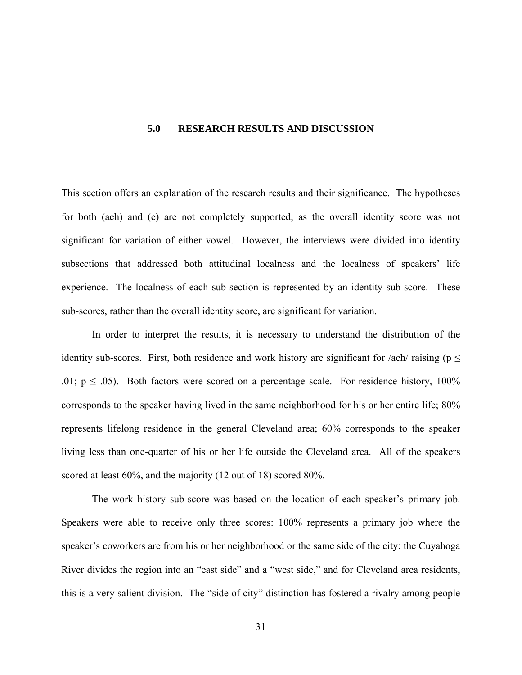#### **5.0 RESEARCH RESULTS AND DISCUSSION**

This section offers an explanation of the research results and their significance. The hypotheses for both (aeh) and (e) are not completely supported, as the overall identity score was not significant for variation of either vowel. However, the interviews were divided into identity subsections that addressed both attitudinal localness and the localness of speakers' life experience. The localness of each sub-section is represented by an identity sub-score. These sub-scores, rather than the overall identity score, are significant for variation.

 In order to interpret the results, it is necessary to understand the distribution of the identity sub-scores. First, both residence and work history are significant for /aeh/ raising ( $p \le$ .01;  $p \le 0.05$ ). Both factors were scored on a percentage scale. For residence history, 100% corresponds to the speaker having lived in the same neighborhood for his or her entire life; 80% represents lifelong residence in the general Cleveland area; 60% corresponds to the speaker living less than one-quarter of his or her life outside the Cleveland area. All of the speakers scored at least 60%, and the majority (12 out of 18) scored 80%.

The work history sub-score was based on the location of each speaker's primary job. Speakers were able to receive only three scores: 100% represents a primary job where the speaker's coworkers are from his or her neighborhood or the same side of the city: the Cuyahoga River divides the region into an "east side" and a "west side," and for Cleveland area residents, this is a very salient division. The "side of city" distinction has fostered a rivalry among people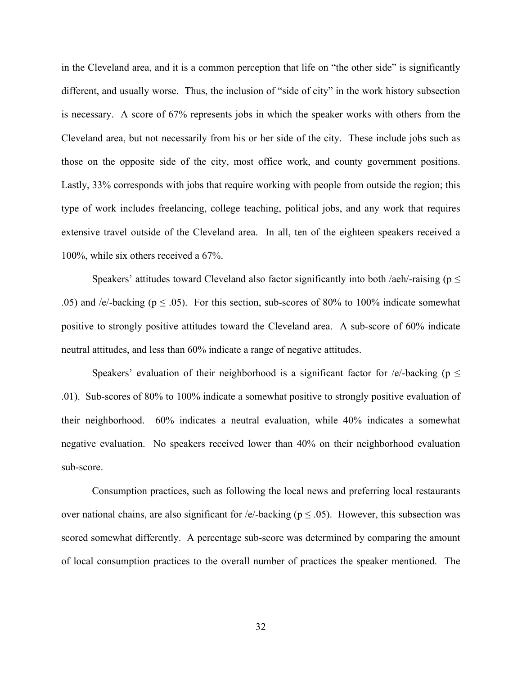in the Cleveland area, and it is a common perception that life on "the other side" is significantly different, and usually worse. Thus, the inclusion of "side of city" in the work history subsection is necessary. A score of 67% represents jobs in which the speaker works with others from the Cleveland area, but not necessarily from his or her side of the city. These include jobs such as those on the opposite side of the city, most office work, and county government positions. Lastly, 33% corresponds with jobs that require working with people from outside the region; this type of work includes freelancing, college teaching, political jobs, and any work that requires extensive travel outside of the Cleveland area. In all, ten of the eighteen speakers received a 100%, while six others received a 67%.

Speakers' attitudes toward Cleveland also factor significantly into both /aeh/-raising ( $p \leq$ .05) and /e/-backing ( $p \leq .05$ ). For this section, sub-scores of 80% to 100% indicate somewhat positive to strongly positive attitudes toward the Cleveland area. A sub-score of 60% indicate neutral attitudes, and less than 60% indicate a range of negative attitudes.

Speakers' evaluation of their neighborhood is a significant factor for /e/-backing ( $p \leq$ .01). Sub-scores of 80% to 100% indicate a somewhat positive to strongly positive evaluation of their neighborhood. 60% indicates a neutral evaluation, while 40% indicates a somewhat negative evaluation. No speakers received lower than 40% on their neighborhood evaluation sub-score.

Consumption practices, such as following the local news and preferring local restaurants over national chains, are also significant for /e/-backing ( $p \le 0.05$ ). However, this subsection was scored somewhat differently. A percentage sub-score was determined by comparing the amount of local consumption practices to the overall number of practices the speaker mentioned. The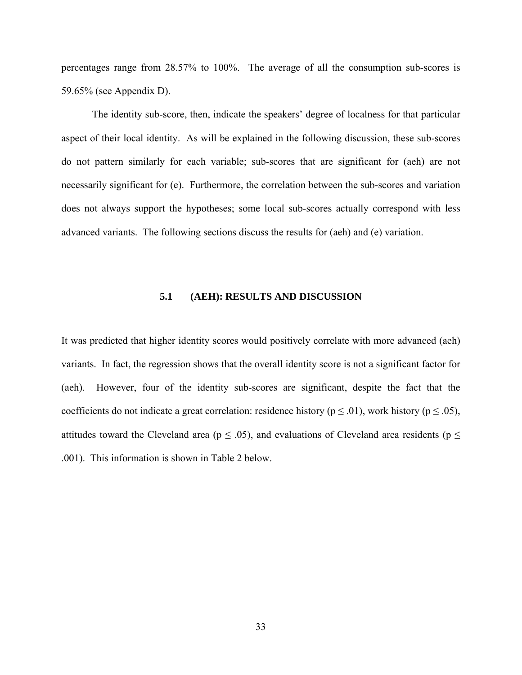percentages range from 28.57% to 100%. The average of all the consumption sub-scores is 59.65% (see Appendix D).

The identity sub-score, then, indicate the speakers' degree of localness for that particular aspect of their local identity. As will be explained in the following discussion, these sub-scores do not pattern similarly for each variable; sub-scores that are significant for (aeh) are not necessarily significant for (e). Furthermore, the correlation between the sub-scores and variation does not always support the hypotheses; some local sub-scores actually correspond with less advanced variants. The following sections discuss the results for (aeh) and (e) variation.

#### **5.1 (AEH): RESULTS AND DISCUSSION**

It was predicted that higher identity scores would positively correlate with more advanced (aeh) variants. In fact, the regression shows that the overall identity score is not a significant factor for (aeh). However, four of the identity sub-scores are significant, despite the fact that the coefficients do not indicate a great correlation: residence history ( $p \le 0.01$ ), work history ( $p \le 0.05$ ), attitudes toward the Cleveland area ( $p \leq .05$ ), and evaluations of Cleveland area residents ( $p \leq$ .001). This information is shown in Table 2 below.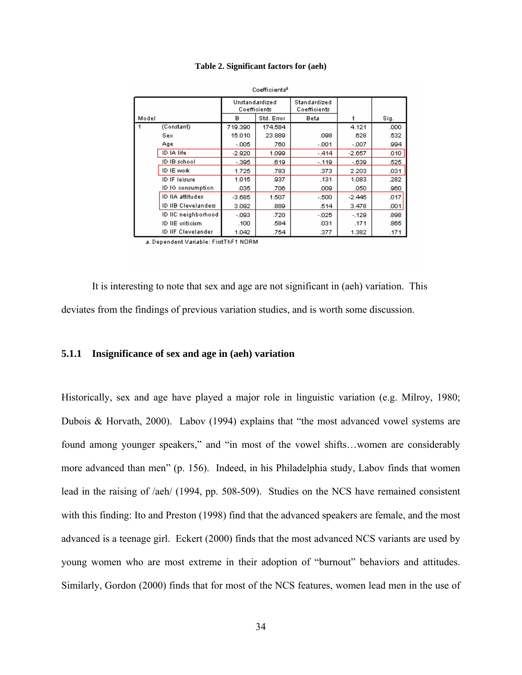#### **Table 2. Significant factors for (aeh)**

|  |                     |                                | vvemvens   |                              |          |      |
|--|---------------------|--------------------------------|------------|------------------------------|----------|------|
|  |                     | Unstandardized<br>Coefficients |            | Standardized<br>Coefficients |          |      |
|  | Model               |                                | Std. Error | Beta                         |          | Sig. |
|  | (Constant)          | 719.390                        | 174.584    |                              | 4.121    | .000 |
|  | Sex                 | 15.010                         | 23,889     | .098                         | .628     | .532 |
|  | Age                 | $-005$                         | .760       | $-001$                       | $-.007$  | .994 |
|  | ID IA life          | $-2.920$                       | 1.099      | $-414$                       | $-2.657$ | .010 |
|  | ID IB school        | $-395$                         | .619       | $-0.119$                     | $-639$   | .525 |
|  | ID IE work          | 1.725                          | .783       | .373                         | 2.203    | .031 |
|  | ID IF leisure       | 1.015                          | .937       | .131                         | 1.083    | .282 |
|  | ID IG consumption   | .035                           | .706       | .009                         | .050     | .960 |
|  | ID IIA attitudes    | $-3.685$                       | 1.507      | $-500$                       | $-2.445$ | .017 |
|  | ID IIB Clevelanders | 3.092                          | .889       | .514                         | 3.478    | .001 |
|  | ID IIC neighborhood | $-093$                         | .720       | $-025$                       | $-.129$  | .898 |
|  | ID IIE criticism.   | .100                           | .584       | .031                         | .171     | .865 |
|  | ID IIF Clevelander  | 1.042                          | .754       | .377                         | 1.382    | .171 |

Coofficientel

a. Dependent Variable: FirstThF1 NORM

It is interesting to note that sex and age are not significant in (aeh) variation. This deviates from the findings of previous variation studies, and is worth some discussion.

#### **5.1.1 Insignificance of sex and age in (aeh) variation**

Historically, sex and age have played a major role in linguistic variation (e.g. Milroy, 1980; Dubois & Horvath, 2000). Labov (1994) explains that "the most advanced vowel systems are found among younger speakers," and "in most of the vowel shifts...women are considerably more advanced than men" (p. 156). Indeed, in his Philadelphia study, Labov finds that women lead in the raising of /aeh/ (1994, pp. 508-509). Studies on the NCS have remained consistent with this finding: Ito and Preston (1998) find that the advanced speakers are female, and the most advanced is a teenage girl. Eckert (2000) finds that the most advanced NCS variants are used by young women who are most extreme in their adoption of "burnout" behaviors and attitudes. Similarly, Gordon (2000) finds that for most of the NCS features, women lead men in the use of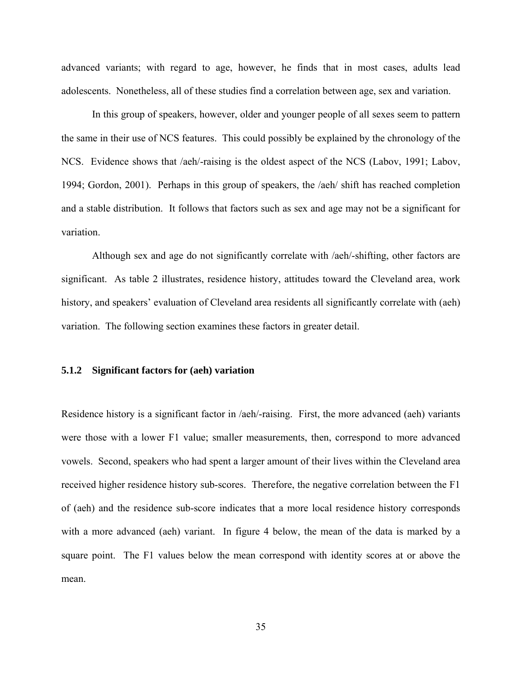advanced variants; with regard to age, however, he finds that in most cases, adults lead adolescents. Nonetheless, all of these studies find a correlation between age, sex and variation.

In this group of speakers, however, older and younger people of all sexes seem to pattern the same in their use of NCS features. This could possibly be explained by the chronology of the NCS. Evidence shows that /aeh/-raising is the oldest aspect of the NCS (Labov, 1991; Labov, 1994; Gordon, 2001). Perhaps in this group of speakers, the /aeh/ shift has reached completion and a stable distribution. It follows that factors such as sex and age may not be a significant for variation.

Although sex and age do not significantly correlate with /aeh/-shifting, other factors are significant. As table 2 illustrates, residence history, attitudes toward the Cleveland area, work history, and speakers' evaluation of Cleveland area residents all significantly correlate with (aeh) variation. The following section examines these factors in greater detail.

#### **5.1.2 Significant factors for (aeh) variation**

Residence history is a significant factor in /aeh/-raising. First, the more advanced (aeh) variants were those with a lower F1 value; smaller measurements, then, correspond to more advanced vowels. Second, speakers who had spent a larger amount of their lives within the Cleveland area received higher residence history sub-scores. Therefore, the negative correlation between the F1 of (aeh) and the residence sub-score indicates that a more local residence history corresponds with a more advanced (aeh) variant. In figure 4 below, the mean of the data is marked by a square point. The F1 values below the mean correspond with identity scores at or above the mean.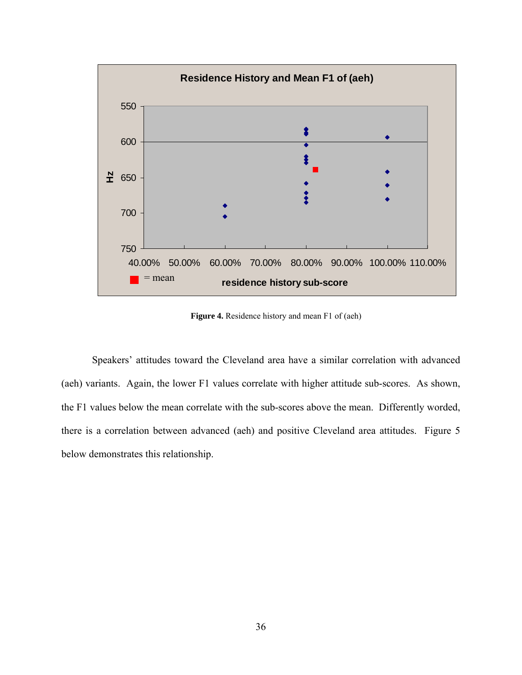

**Figure 4.** Residence history and mean F1 of (aeh)

 Speakers' attitudes toward the Cleveland area have a similar correlation with advanced (aeh) variants. Again, the lower F1 values correlate with higher attitude sub-scores. As shown, the F1 values below the mean correlate with the sub-scores above the mean. Differently worded, there is a correlation between advanced (aeh) and positive Cleveland area attitudes. Figure 5 below demonstrates this relationship.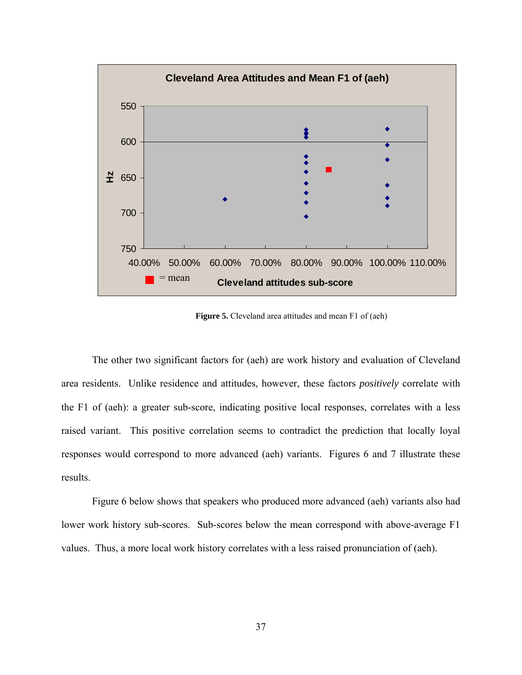

**Figure 5.** Cleveland area attitudes and mean F1 of (aeh)

 The other two significant factors for (aeh) are work history and evaluation of Cleveland area residents. Unlike residence and attitudes, however, these factors *positively* correlate with the F1 of (aeh): a greater sub-score, indicating positive local responses, correlates with a less raised variant. This positive correlation seems to contradict the prediction that locally loyal responses would correspond to more advanced (aeh) variants. Figures 6 and 7 illustrate these results.

 Figure 6 below shows that speakers who produced more advanced (aeh) variants also had lower work history sub-scores. Sub-scores below the mean correspond with above-average F1 values. Thus, a more local work history correlates with a less raised pronunciation of (aeh).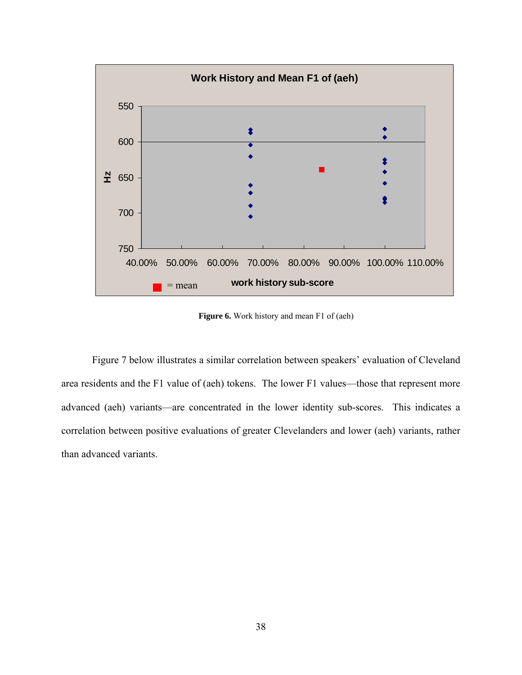

**Figure 6.** Work history and mean F1 of (aeh)

Figure 7 below illustrates a similar correlation between speakers' evaluation of Cleveland area residents and the F1 value of (aeh) tokens. The lower F1 values—those that represent more advanced (aeh) variants—are concentrated in the lower identity sub-scores. This indicates a correlation between positive evaluations of greater Clevelanders and lower (aeh) variants, rather than advanced variants.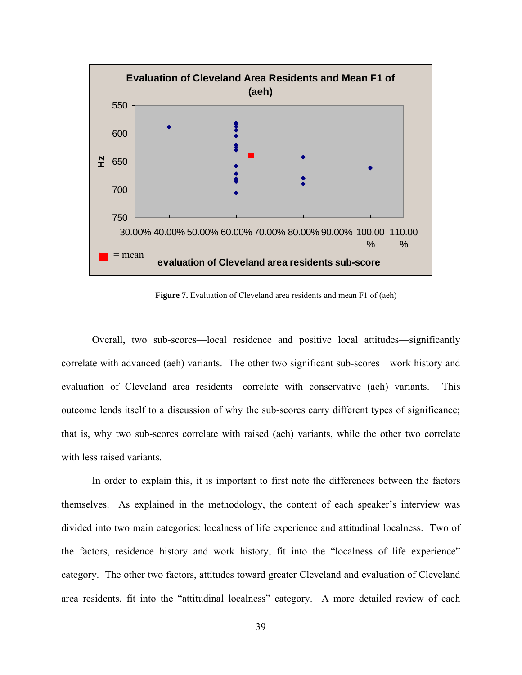

Figure 7. Evaluation of Cleveland area residents and mean F1 of (aeh)

Overall, two sub-scores—local residence and positive local attitudes—significantly correlate with advanced (aeh) variants. The other two significant sub-scores—work history and evaluation of Cleveland area residents—correlate with conservative (aeh) variants. This outcome lends itself to a discussion of why the sub-scores carry different types of significance; that is, why two sub-scores correlate with raised (aeh) variants, while the other two correlate with less raised variants.

In order to explain this, it is important to first note the differences between the factors themselves. As explained in the methodology, the content of each speaker's interview was divided into two main categories: localness of life experience and attitudinal localness. Two of the factors, residence history and work history, fit into the "localness of life experience" category. The other two factors, attitudes toward greater Cleveland and evaluation of Cleveland area residents, fit into the "attitudinal localness" category. A more detailed review of each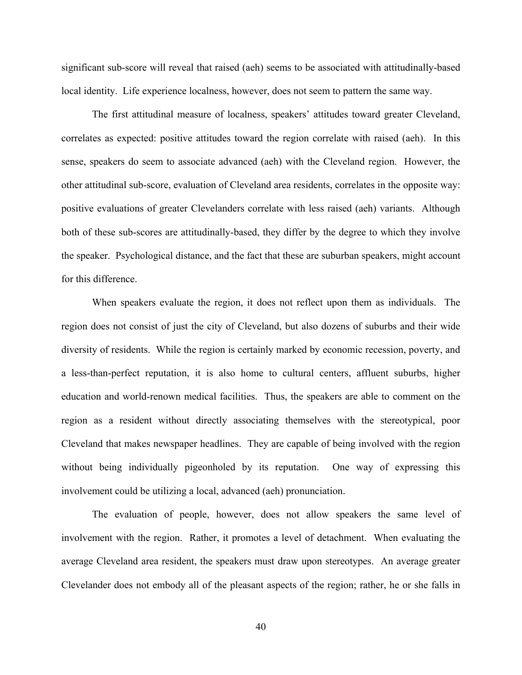significant sub-score will reveal that raised (aeh) seems to be associated with attitudinally-based local identity. Life experience localness, however, does not seem to pattern the same way.

The first attitudinal measure of localness, speakers' attitudes toward greater Cleveland, correlates as expected: positive attitudes toward the region correlate with raised (aeh). In this sense, speakers do seem to associate advanced (aeh) with the Cleveland region. However, the other attitudinal sub-score, evaluation of Cleveland area residents, correlates in the opposite way: positive evaluations of greater Clevelanders correlate with less raised (aeh) variants. Although both of these sub-scores are attitudinally-based, they differ by the degree to which they involve the speaker. Psychological distance, and the fact that these are suburban speakers, might account for this difference.

When speakers evaluate the region, it does not reflect upon them as individuals. The region does not consist of just the city of Cleveland, but also dozens of suburbs and their wide diversity of residents. While the region is certainly marked by economic recession, poverty, and a less-than-perfect reputation, it is also home to cultural centers, affluent suburbs, higher education and world-renown medical facilities. Thus, the speakers are able to comment on the region as a resident without directly associating themselves with the stereotypical, poor Cleveland that makes newspaper headlines. They are capable of being involved with the region without being individually pigeonholed by its reputation. One way of expressing this involvement could be utilizing a local, advanced (aeh) pronunciation.

The evaluation of people, however, does not allow speakers the same level of involvement with the region. Rather, it promotes a level of detachment. When evaluating the average Cleveland area resident, the speakers must draw upon stereotypes. An average greater Clevelander does not embody all of the pleasant aspects of the region; rather, he or she falls in

40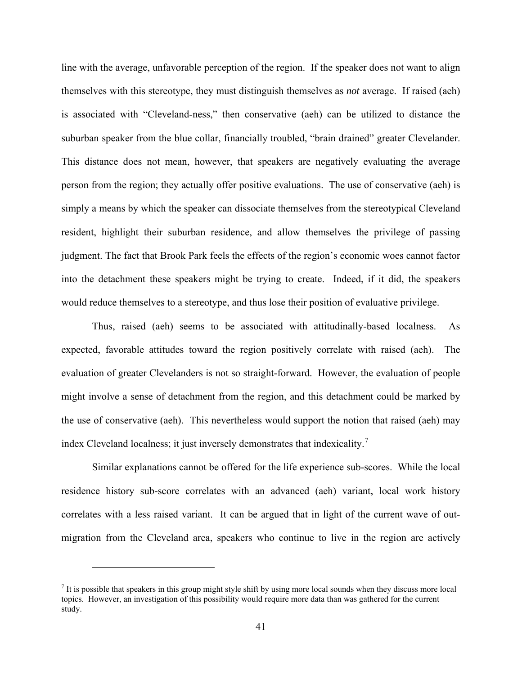line with the average, unfavorable perception of the region. If the speaker does not want to align themselves with this stereotype, they must distinguish themselves as *not* average. If raised (aeh) is associated with "Cleveland-ness," then conservative (aeh) can be utilized to distance the suburban speaker from the blue collar, financially troubled, "brain drained" greater Clevelander. This distance does not mean, however, that speakers are negatively evaluating the average person from the region; they actually offer positive evaluations. The use of conservative (aeh) is simply a means by which the speaker can dissociate themselves from the stereotypical Cleveland resident, highlight their suburban residence, and allow themselves the privilege of passing judgment. The fact that Brook Park feels the effects of the region's economic woes cannot factor into the detachment these speakers might be trying to create. Indeed, if it did, the speakers would reduce themselves to a stereotype, and thus lose their position of evaluative privilege.

Thus, raised (aeh) seems to be associated with attitudinally-based localness. As expected, favorable attitudes toward the region positively correlate with raised (aeh). The evaluation of greater Clevelanders is not so straight-forward. However, the evaluation of people might involve a sense of detachment from the region, and this detachment could be marked by the use of conservative (aeh). This nevertheless would support the notion that raised (aeh) may index Cleveland localness; it just inversely demonstrates that indexicality.<sup>[7](#page-50-0)</sup>

Similar explanations cannot be offered for the life experience sub-scores. While the local residence history sub-score correlates with an advanced (aeh) variant, local work history correlates with a less raised variant. It can be argued that in light of the current wave of outmigration from the Cleveland area, speakers who continue to live in the region are actively

 $\overline{a}$ 

<span id="page-50-0"></span> $<sup>7</sup>$  It is possible that speakers in this group might style shift by using more local sounds when they discuss more local</sup> topics. However, an investigation of this possibility would require more data than was gathered for the current study.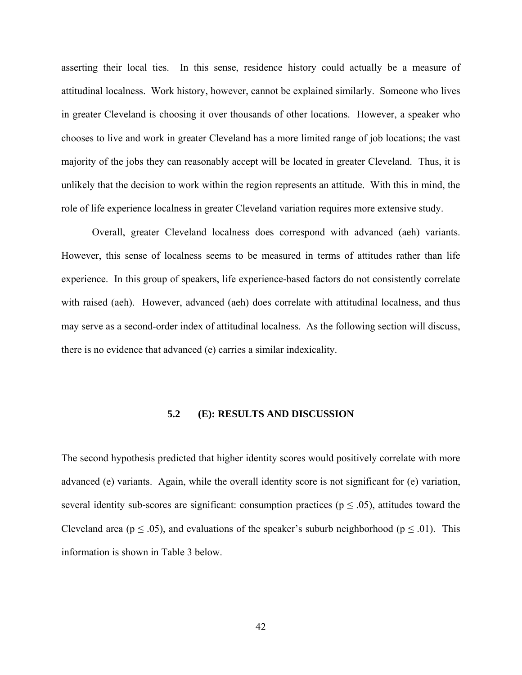asserting their local ties. In this sense, residence history could actually be a measure of attitudinal localness. Work history, however, cannot be explained similarly. Someone who lives in greater Cleveland is choosing it over thousands of other locations. However, a speaker who chooses to live and work in greater Cleveland has a more limited range of job locations; the vast majority of the jobs they can reasonably accept will be located in greater Cleveland. Thus, it is unlikely that the decision to work within the region represents an attitude. With this in mind, the role of life experience localness in greater Cleveland variation requires more extensive study.

Overall, greater Cleveland localness does correspond with advanced (aeh) variants. However, this sense of localness seems to be measured in terms of attitudes rather than life experience. In this group of speakers, life experience-based factors do not consistently correlate with raised (aeh). However, advanced (aeh) does correlate with attitudinal localness, and thus may serve as a second-order index of attitudinal localness. As the following section will discuss, there is no evidence that advanced (e) carries a similar indexicality.

#### **5.2 (E): RESULTS AND DISCUSSION**

The second hypothesis predicted that higher identity scores would positively correlate with more advanced (e) variants. Again, while the overall identity score is not significant for (e) variation, several identity sub-scores are significant: consumption practices ( $p \leq .05$ ), attitudes toward the Cleveland area ( $p \le 0.05$ ), and evaluations of the speaker's suburb neighborhood ( $p \le 0.01$ ). This information is shown in Table 3 below.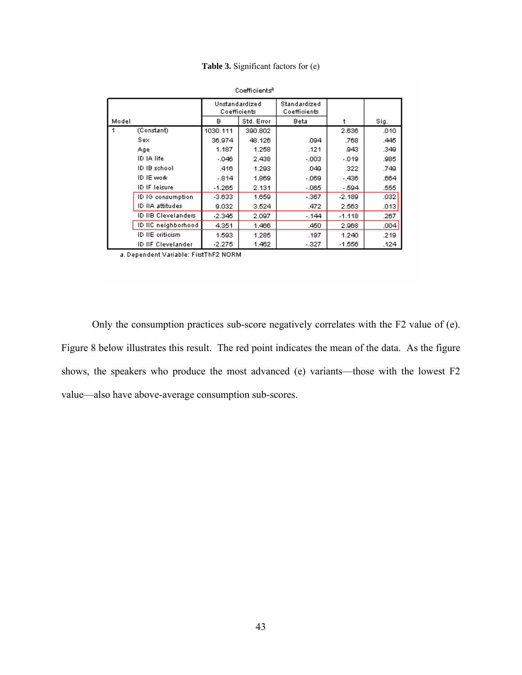**Table 3.** Significant factors for (e)

|       |                     | Unstandardized<br>Coefficients |                           | Standardized<br>Coefficients |          |      |
|-------|---------------------|--------------------------------|---------------------------|------------------------------|----------|------|
| Model |                     | в                              | Std. Error<br><b>Beta</b> |                              | ŧ        | Sig. |
| 1     | (Constant)          | 1030.111                       | 390.802                   |                              | 2.636    | .010 |
|       | Sex                 | 36.974                         | 48.126                    | .094                         | .768     | .445 |
|       | Age                 | 1.187                          | 1.258                     | .121                         | .943     | .349 |
|       | ID IA life          | $-046$                         | 2.438                     | $-003$                       | $-019$   | .985 |
|       | ID IB school        | .416                           | 1.293                     | .049                         | .322     | .749 |
|       | ID IE work          | -.814                          | 1.869                     | $-069$                       | -.436    | .664 |
|       | ID IF leisure       | $-1.265$                       | 2.131                     | $-065$                       | - 594    | .555 |
|       | ID IG consumption   | $-3.633$                       | 1.659                     | $-.367$                      | $-2.189$ | .032 |
|       | ID IIA attitudes    | 9.032                          | 3.524                     | .472                         | 2.563    | .013 |
|       | ID IIB Clevelanders | $-2.345$                       | 2.097                     | - 144                        | $-1.118$ | .267 |
|       | ID IIC neighborhood | 4.351                          | 1.466                     | .450                         | 2.968    | .004 |
|       | ID IIE criticism    | 1.593                          | 1.285                     | .197                         | 1.240    | .219 |
|       | ID IIF Clevelander  | $-2.275$                       | 1.462                     | $-327$                       | $-1.556$ | .124 |

Coefficients<sup>8</sup>

a. Dependent Variable: FirstThF2 NORM

Only the consumption practices sub-score negatively correlates with the F2 value of (e). Figure 8 below illustrates this result. The red point indicates the mean of the data. As the figure shows, the speakers who produce the most advanced (e) variants—those with the lowest F2 value—also have above-average consumption sub-scores.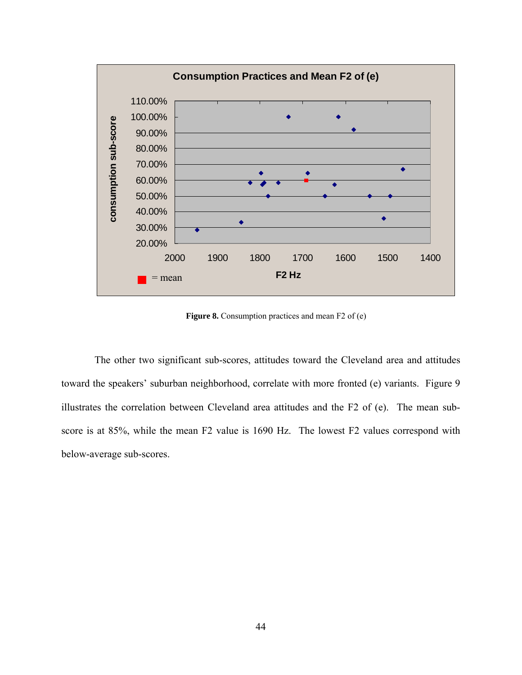

**Figure 8.** Consumption practices and mean F2 of (e)

 The other two significant sub-scores, attitudes toward the Cleveland area and attitudes toward the speakers' suburban neighborhood, correlate with more fronted (e) variants. Figure 9 illustrates the correlation between Cleveland area attitudes and the F2 of (e). The mean subscore is at 85%, while the mean F2 value is 1690 Hz. The lowest F2 values correspond with below-average sub-scores.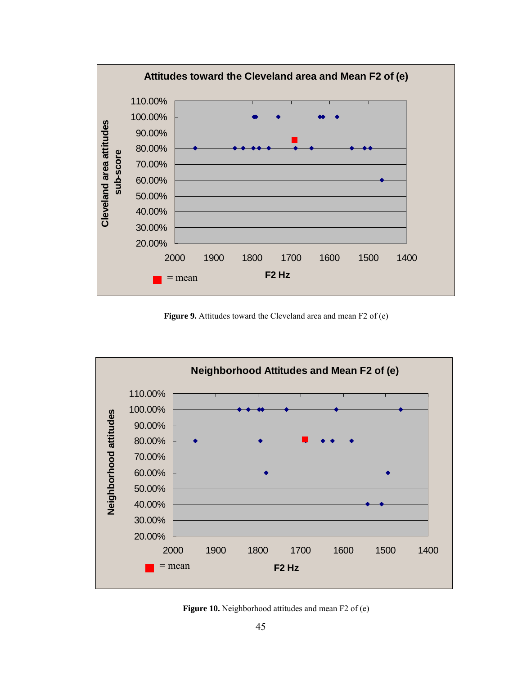

Figure 9. Attitudes toward the Cleveland area and mean F2 of (e)



Figure 10. Neighborhood attitudes and mean F2 of (e)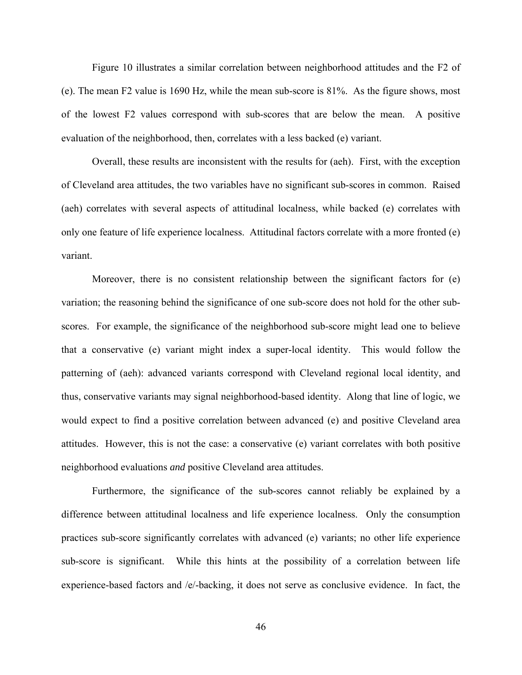Figure 10 illustrates a similar correlation between neighborhood attitudes and the F2 of (e). The mean F2 value is 1690 Hz, while the mean sub-score is 81%. As the figure shows, most of the lowest F2 values correspond with sub-scores that are below the mean. A positive evaluation of the neighborhood, then, correlates with a less backed (e) variant.

Overall, these results are inconsistent with the results for (aeh). First, with the exception of Cleveland area attitudes, the two variables have no significant sub-scores in common. Raised (aeh) correlates with several aspects of attitudinal localness, while backed (e) correlates with only one feature of life experience localness. Attitudinal factors correlate with a more fronted (e) variant.

Moreover, there is no consistent relationship between the significant factors for (e) variation; the reasoning behind the significance of one sub-score does not hold for the other subscores. For example, the significance of the neighborhood sub-score might lead one to believe that a conservative (e) variant might index a super-local identity. This would follow the patterning of (aeh): advanced variants correspond with Cleveland regional local identity, and thus, conservative variants may signal neighborhood-based identity. Along that line of logic, we would expect to find a positive correlation between advanced (e) and positive Cleveland area attitudes. However, this is not the case: a conservative (e) variant correlates with both positive neighborhood evaluations *and* positive Cleveland area attitudes.

Furthermore, the significance of the sub-scores cannot reliably be explained by a difference between attitudinal localness and life experience localness. Only the consumption practices sub-score significantly correlates with advanced (e) variants; no other life experience sub-score is significant. While this hints at the possibility of a correlation between life experience-based factors and /e/-backing, it does not serve as conclusive evidence. In fact, the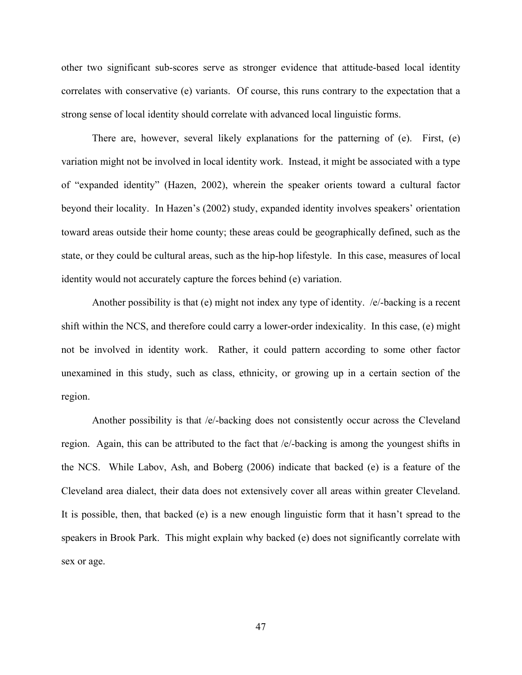other two significant sub-scores serve as stronger evidence that attitude-based local identity correlates with conservative (e) variants. Of course, this runs contrary to the expectation that a strong sense of local identity should correlate with advanced local linguistic forms.

There are, however, several likely explanations for the patterning of (e). First, (e) variation might not be involved in local identity work. Instead, it might be associated with a type of "expanded identity" (Hazen, 2002), wherein the speaker orients toward a cultural factor beyond their locality. In Hazen's (2002) study, expanded identity involves speakers' orientation toward areas outside their home county; these areas could be geographically defined, such as the state, or they could be cultural areas, such as the hip-hop lifestyle. In this case, measures of local identity would not accurately capture the forces behind (e) variation.

Another possibility is that (e) might not index any type of identity. /e/-backing is a recent shift within the NCS, and therefore could carry a lower-order indexicality. In this case, (e) might not be involved in identity work. Rather, it could pattern according to some other factor unexamined in this study, such as class, ethnicity, or growing up in a certain section of the region.

Another possibility is that /e/-backing does not consistently occur across the Cleveland region. Again, this can be attributed to the fact that /e/-backing is among the youngest shifts in the NCS. While Labov, Ash, and Boberg (2006) indicate that backed (e) is a feature of the Cleveland area dialect, their data does not extensively cover all areas within greater Cleveland. It is possible, then, that backed (e) is a new enough linguistic form that it hasn't spread to the speakers in Brook Park. This might explain why backed (e) does not significantly correlate with sex or age.

47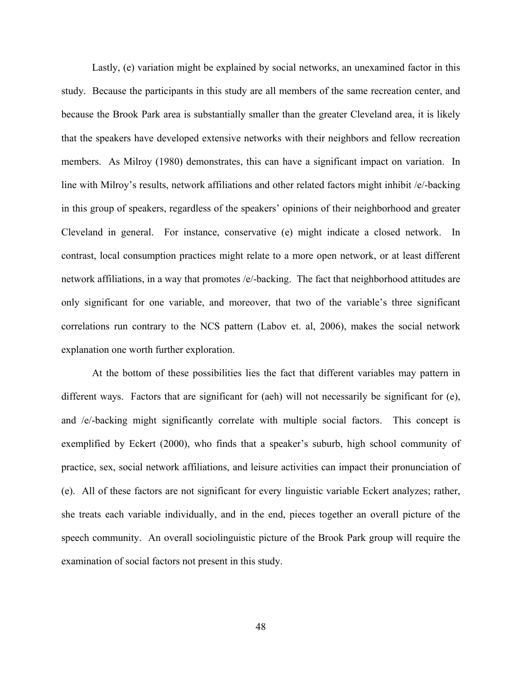Lastly, (e) variation might be explained by social networks, an unexamined factor in this study. Because the participants in this study are all members of the same recreation center, and because the Brook Park area is substantially smaller than the greater Cleveland area, it is likely that the speakers have developed extensive networks with their neighbors and fellow recreation members. As Milroy (1980) demonstrates, this can have a significant impact on variation. In line with Milroy's results, network affiliations and other related factors might inhibit /e/-backing in this group of speakers, regardless of the speakers' opinions of their neighborhood and greater Cleveland in general. For instance, conservative (e) might indicate a closed network. In contrast, local consumption practices might relate to a more open network, or at least different network affiliations, in a way that promotes /e/-backing. The fact that neighborhood attitudes are only significant for one variable, and moreover, that two of the variable's three significant correlations run contrary to the NCS pattern (Labov et. al, 2006), makes the social network explanation one worth further exploration.

At the bottom of these possibilities lies the fact that different variables may pattern in different ways. Factors that are significant for (aeh) will not necessarily be significant for (e), and /e/-backing might significantly correlate with multiple social factors. This concept is exemplified by Eckert (2000), who finds that a speaker's suburb, high school community of practice, sex, social network affiliations, and leisure activities can impact their pronunciation of (e). All of these factors are not significant for every linguistic variable Eckert analyzes; rather, she treats each variable individually, and in the end, pieces together an overall picture of the speech community. An overall sociolinguistic picture of the Brook Park group will require the examination of social factors not present in this study.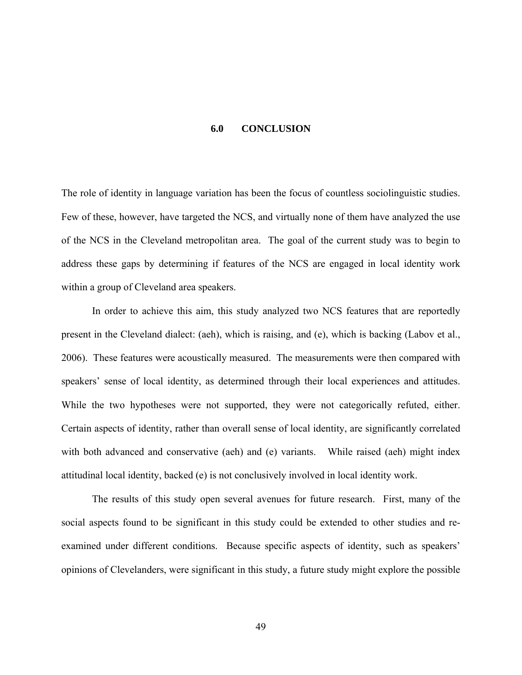#### **6.0 CONCLUSION**

The role of identity in language variation has been the focus of countless sociolinguistic studies. Few of these, however, have targeted the NCS, and virtually none of them have analyzed the use of the NCS in the Cleveland metropolitan area. The goal of the current study was to begin to address these gaps by determining if features of the NCS are engaged in local identity work within a group of Cleveland area speakers.

 In order to achieve this aim, this study analyzed two NCS features that are reportedly present in the Cleveland dialect: (aeh), which is raising, and (e), which is backing (Labov et al., 2006). These features were acoustically measured. The measurements were then compared with speakers' sense of local identity, as determined through their local experiences and attitudes. While the two hypotheses were not supported, they were not categorically refuted, either. Certain aspects of identity, rather than overall sense of local identity, are significantly correlated with both advanced and conservative (aeh) and (e) variants. While raised (aeh) might index attitudinal local identity, backed (e) is not conclusively involved in local identity work.

 The results of this study open several avenues for future research. First, many of the social aspects found to be significant in this study could be extended to other studies and reexamined under different conditions. Because specific aspects of identity, such as speakers' opinions of Clevelanders, were significant in this study, a future study might explore the possible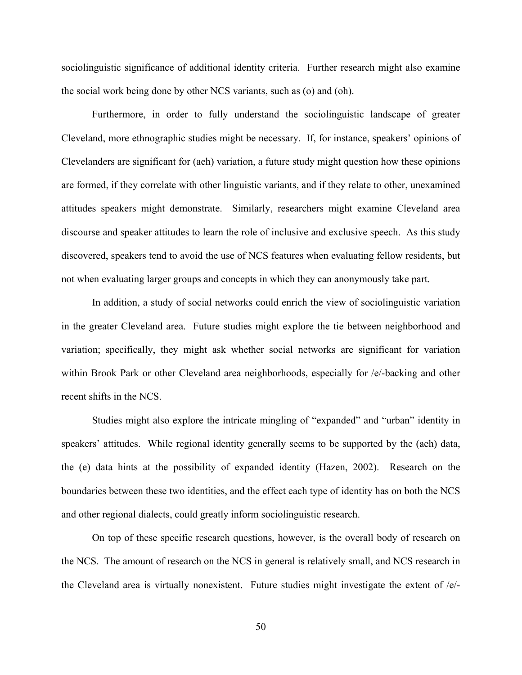sociolinguistic significance of additional identity criteria. Further research might also examine the social work being done by other NCS variants, such as (o) and (oh).

 Furthermore, in order to fully understand the sociolinguistic landscape of greater Cleveland, more ethnographic studies might be necessary. If, for instance, speakers' opinions of Clevelanders are significant for (aeh) variation, a future study might question how these opinions are formed, if they correlate with other linguistic variants, and if they relate to other, unexamined attitudes speakers might demonstrate. Similarly, researchers might examine Cleveland area discourse and speaker attitudes to learn the role of inclusive and exclusive speech. As this study discovered, speakers tend to avoid the use of NCS features when evaluating fellow residents, but not when evaluating larger groups and concepts in which they can anonymously take part.

 In addition, a study of social networks could enrich the view of sociolinguistic variation in the greater Cleveland area. Future studies might explore the tie between neighborhood and variation; specifically, they might ask whether social networks are significant for variation within Brook Park or other Cleveland area neighborhoods, especially for /e/-backing and other recent shifts in the NCS.

 Studies might also explore the intricate mingling of "expanded" and "urban" identity in speakers' attitudes. While regional identity generally seems to be supported by the (aeh) data, the (e) data hints at the possibility of expanded identity (Hazen, 2002). Research on the boundaries between these two identities, and the effect each type of identity has on both the NCS and other regional dialects, could greatly inform sociolinguistic research.

 On top of these specific research questions, however, is the overall body of research on the NCS. The amount of research on the NCS in general is relatively small, and NCS research in the Cleveland area is virtually nonexistent. Future studies might investigate the extent of /e/-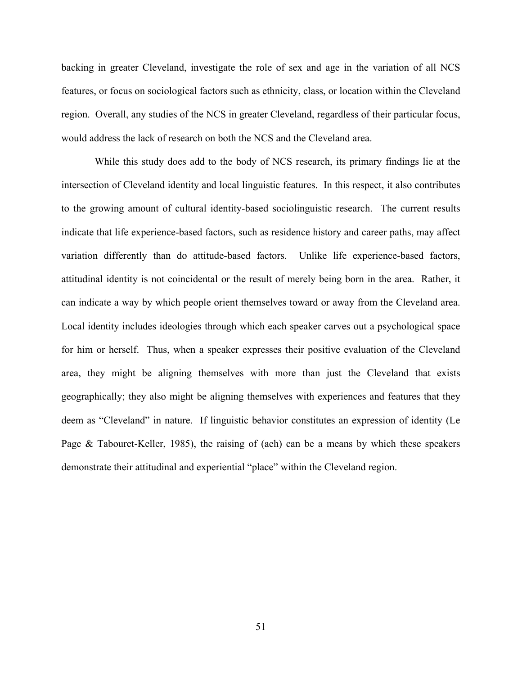backing in greater Cleveland, investigate the role of sex and age in the variation of all NCS features, or focus on sociological factors such as ethnicity, class, or location within the Cleveland region. Overall, any studies of the NCS in greater Cleveland, regardless of their particular focus, would address the lack of research on both the NCS and the Cleveland area.

 While this study does add to the body of NCS research, its primary findings lie at the intersection of Cleveland identity and local linguistic features. In this respect, it also contributes to the growing amount of cultural identity-based sociolinguistic research. The current results indicate that life experience-based factors, such as residence history and career paths, may affect variation differently than do attitude-based factors. Unlike life experience-based factors, attitudinal identity is not coincidental or the result of merely being born in the area. Rather, it can indicate a way by which people orient themselves toward or away from the Cleveland area. Local identity includes ideologies through which each speaker carves out a psychological space for him or herself. Thus, when a speaker expresses their positive evaluation of the Cleveland area, they might be aligning themselves with more than just the Cleveland that exists geographically; they also might be aligning themselves with experiences and features that they deem as "Cleveland" in nature. If linguistic behavior constitutes an expression of identity (Le Page & Tabouret-Keller, 1985), the raising of (aeh) can be a means by which these speakers demonstrate their attitudinal and experiential "place" within the Cleveland region.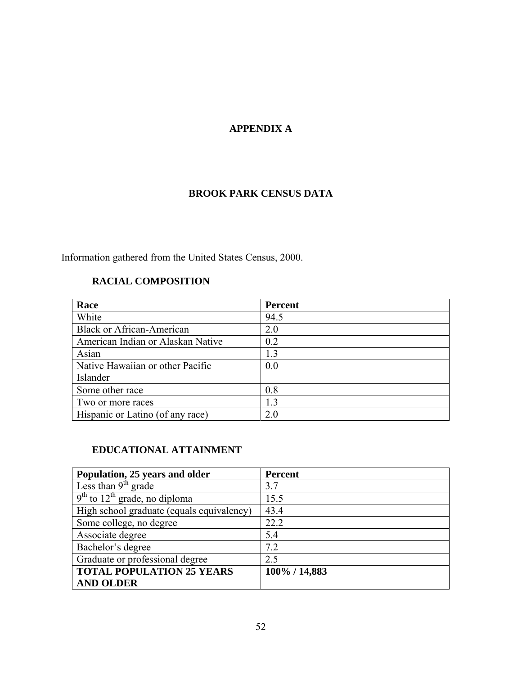# **APPENDIX A**

# **BROOK PARK CENSUS DATA**

Information gathered from the United States Census, 2000.

## **RACIAL COMPOSITION**

| Race                              | Percent |
|-----------------------------------|---------|
| White                             | 94.5    |
| <b>Black or African-American</b>  | 2.0     |
| American Indian or Alaskan Native | 0.2     |
| Asian                             | 1.3     |
| Native Hawaiian or other Pacific  | 0.0     |
| Islander                          |         |
| Some other race                   | 0.8     |
| Two or more races                 | 1.3     |
| Hispanic or Latino (of any race)  | 2.0     |

### **EDUCATIONAL ATTAINMENT**

| Population, 25 years and older                           | <b>Percent</b> |
|----------------------------------------------------------|----------------|
| Less than $9th$ grade                                    | 3.7            |
| $\frac{9^{\text{th}}}{12^{\text{th}}}$ grade, no diploma | 15.5           |
| High school graduate (equals equivalency)                | 43.4           |
| Some college, no degree                                  | 22.2           |
| Associate degree                                         | 5.4            |
| Bachelor's degree                                        | 7.2            |
| Graduate or professional degree                          | 2.5            |
| <b>TOTAL POPULATION 25 YEARS</b>                         | 100% / 14,883  |
| <b>AND OLDER</b>                                         |                |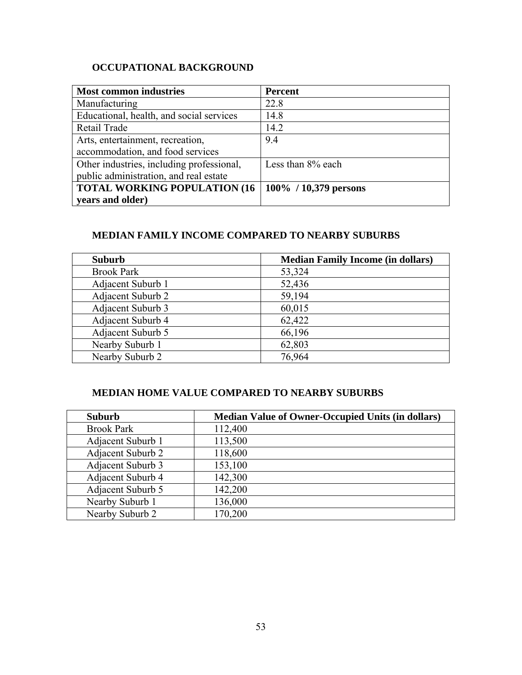# **OCCUPATIONAL BACKGROUND**

| <b>Most common industries</b>             | <b>Percent</b>           |
|-------------------------------------------|--------------------------|
| Manufacturing                             | 22.8                     |
| Educational, health, and social services  | 14.8                     |
| Retail Trade                              | 14.2                     |
| Arts, entertainment, recreation,          | 9.4                      |
| accommodation, and food services          |                          |
| Other industries, including professional, | Less than 8% each        |
| public administration, and real estate    |                          |
| <b>TOTAL WORKING POPULATION (16)</b>      | $100\%$ / 10,379 persons |
| years and older)                          |                          |

## **MEDIAN FAMILY INCOME COMPARED TO NEARBY SUBURBS**

| <b>Suburb</b>            | <b>Median Family Income (in dollars)</b> |
|--------------------------|------------------------------------------|
| <b>Brook Park</b>        | 53,324                                   |
| Adjacent Suburb 1        | 52,436                                   |
| Adjacent Suburb 2        | 59,194                                   |
| <b>Adjacent Suburb 3</b> | 60,015                                   |
| Adjacent Suburb 4        | 62,422                                   |
| Adjacent Suburb 5        | 66,196                                   |
| Nearby Suburb 1          | 62,803                                   |
| Nearby Suburb 2          | 76,964                                   |

### **MEDIAN HOME VALUE COMPARED TO NEARBY SUBURBS**

| <b>Suburb</b>     | <b>Median Value of Owner-Occupied Units (in dollars)</b> |
|-------------------|----------------------------------------------------------|
| <b>Brook Park</b> | 112,400                                                  |
| Adjacent Suburb 1 | 113,500                                                  |
| Adjacent Suburb 2 | 118,600                                                  |
| Adjacent Suburb 3 | 153,100                                                  |
| Adjacent Suburb 4 | 142,300                                                  |
| Adjacent Suburb 5 | 142,200                                                  |
| Nearby Suburb 1   | 136,000                                                  |
| Nearby Suburb 2   | 170,200                                                  |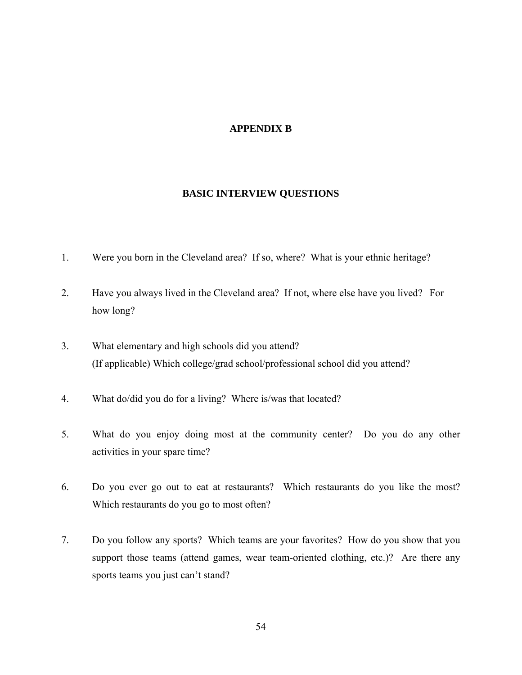#### **APPENDIX B**

#### **BASIC INTERVIEW QUESTIONS**

- 1. Were you born in the Cleveland area? If so, where? What is your ethnic heritage?
- 2. Have you always lived in the Cleveland area? If not, where else have you lived? For how long?
- 3. What elementary and high schools did you attend? (If applicable) Which college/grad school/professional school did you attend?
- 4. What do/did you do for a living? Where is/was that located?
- 5. What do you enjoy doing most at the community center? Do you do any other activities in your spare time?
- 6. Do you ever go out to eat at restaurants? Which restaurants do you like the most? Which restaurants do you go to most often?
- 7. Do you follow any sports? Which teams are your favorites? How do you show that you support those teams (attend games, wear team-oriented clothing, etc.)? Are there any sports teams you just can't stand?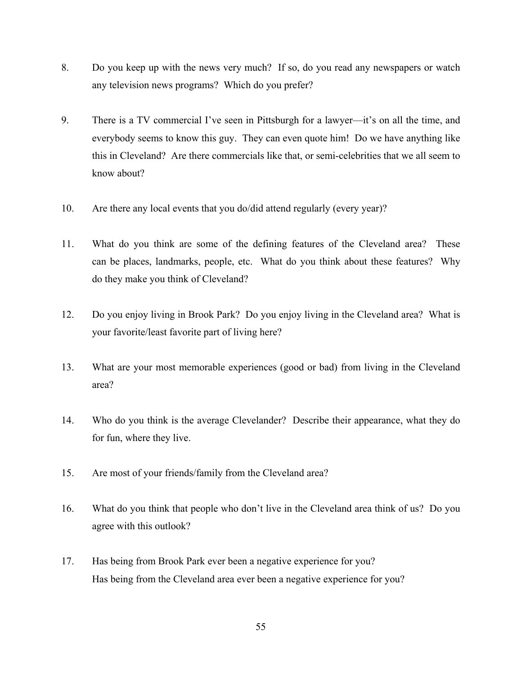- 8. Do you keep up with the news very much? If so, do you read any newspapers or watch any television news programs? Which do you prefer?
- 9. There is a TV commercial I've seen in Pittsburgh for a lawyer—it's on all the time, and everybody seems to know this guy. They can even quote him! Do we have anything like this in Cleveland? Are there commercials like that, or semi-celebrities that we all seem to know about?
- 10. Are there any local events that you do/did attend regularly (every year)?
- 11. What do you think are some of the defining features of the Cleveland area? These can be places, landmarks, people, etc. What do you think about these features? Why do they make you think of Cleveland?
- 12. Do you enjoy living in Brook Park? Do you enjoy living in the Cleveland area? What is your favorite/least favorite part of living here?
- 13. What are your most memorable experiences (good or bad) from living in the Cleveland area?
- 14. Who do you think is the average Clevelander? Describe their appearance, what they do for fun, where they live.
- 15. Are most of your friends/family from the Cleveland area?
- 16. What do you think that people who don't live in the Cleveland area think of us? Do you agree with this outlook?
- 17. Has being from Brook Park ever been a negative experience for you? Has being from the Cleveland area ever been a negative experience for you?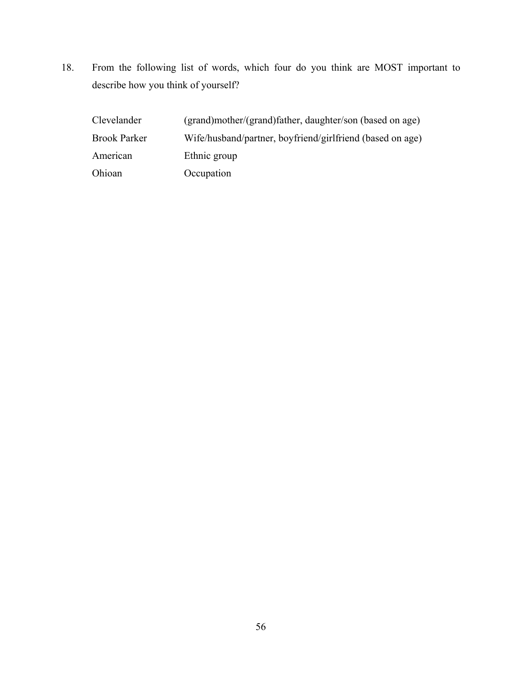18. From the following list of words, which four do you think are MOST important to describe how you think of yourself?

| Clevelander         | (grand)mother/(grand)father, daughter/son (based on age)  |
|---------------------|-----------------------------------------------------------|
| <b>Brook Parker</b> | Wife/husband/partner, boyfriend/girlfriend (based on age) |
| American            | Ethnic group                                              |
| Ohioan              | Occupation                                                |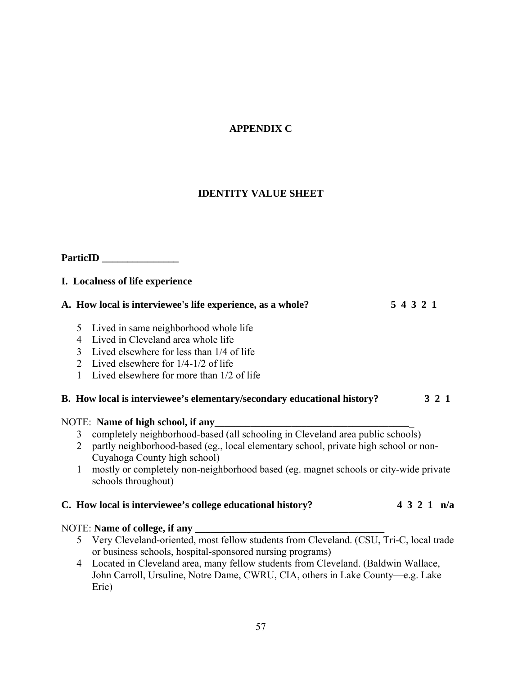# **APPENDIX C**

### **IDENTITY VALUE SHEET**

# **ParticID \_\_\_\_\_\_\_\_\_\_\_\_\_\_\_**

### **I. Localness of life experience**

| A. How local is interviewee's life experience, as a whole? | 54321 |
|------------------------------------------------------------|-------|
|------------------------------------------------------------|-------|

- 5 Lived in same neighborhood whole life
- 4 Lived in Cleveland area whole life
- 3 Lived elsewhere for less than 1/4 of life
- 2 Lived elsewhere for 1/4-1/2 of life
- 1 Lived elsewhere for more than 1/2 of life

### **B. How local is interviewee's elementary/secondary educational history? 3 2 1**

### NOTE: **Name of high school, if any**

- 3 completely neighborhood-based (all schooling in Cleveland area public schools)
- 2 partly neighborhood-based (eg., local elementary school, private high school or non- Cuyahoga County high school)
- 1 mostly or completely non-neighborhood based (eg. magnet schools or city-wide private schools throughout)

### **C. How local is interviewee's college educational history? 4 3 2 1 n/a**

### NOTE: **Name of college, if any**

- 5 Very Cleveland-oriented, most fellow students from Cleveland. (CSU, Tri-C, local trade or business schools, hospital-sponsored nursing programs)
- 4 Located in Cleveland area, many fellow students from Cleveland. (Baldwin Wallace, John Carroll, Ursuline, Notre Dame, CWRU, CIA, others in Lake County—e.g. Lake Erie)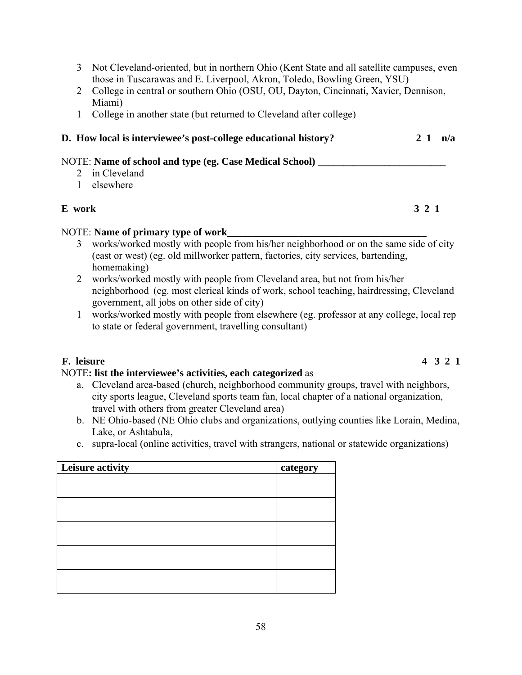- 3 Not Cleveland-oriented, but in northern Ohio (Kent State and all satellite campuses, even those in Tuscarawas and E. Liverpool, Akron, Toledo, Bowling Green, YSU)
- 2 College in central or southern Ohio (OSU, OU, Dayton, Cincinnati, Xavier, Dennison, Miami)
- 1 College in another state (but returned to Cleveland after college)

## **D. How local is interviewee's post-college educational history? 2 1 n/a**

### NOTE: **Name of school and type (eg. Case Medical School)**

- 2 in Cleveland
- 1 elsewhere

### **E work 3 2 1**

### NOTE: **Name of primary type of work**

- 3 works/worked mostly with people from his/her neighborhood or on the same side of city (east or west) (eg. old millworker pattern, factories, city services, bartending, homemaking)
- 2 works/worked mostly with people from Cleveland area, but not from his/her neighborhood (eg. most clerical kinds of work, school teaching, hairdressing, Cleveland government, all jobs on other side of city)
- 1 works/worked mostly with people from elsewhere (eg. professor at any college, local rep to state or federal government, travelling consultant)

### **F. leisure 4 3 2 1**

### NOTE**: list the interviewee's activities, each categorized** as

- a. Cleveland area-based (church, neighborhood community groups, travel with neighbors, city sports league, Cleveland sports team fan, local chapter of a national organization, travel with others from greater Cleveland area)
- b. NE Ohio-based (NE Ohio clubs and organizations, outlying counties like Lorain, Medina, Lake, or Ashtabula,
- c. supra-local (online activities, travel with strangers, national or statewide organizations)

| Leisure activity | category |
|------------------|----------|
|                  |          |
|                  |          |
|                  |          |
|                  |          |
|                  |          |
|                  |          |
|                  |          |
|                  |          |
|                  |          |
|                  |          |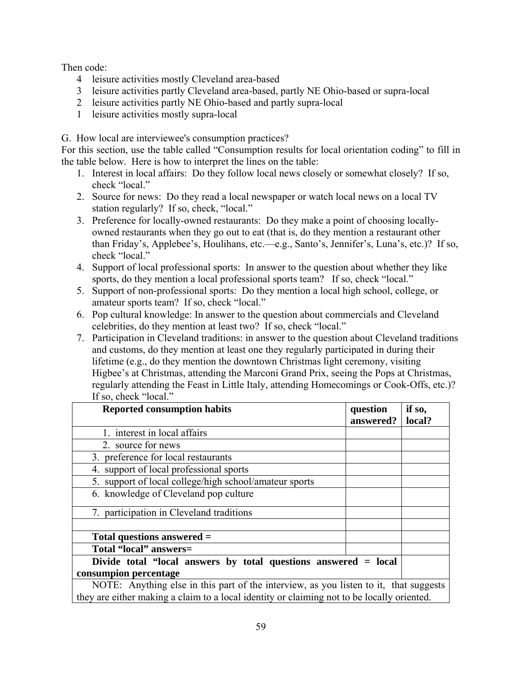Then code:

- 4 leisure activities mostly Cleveland area-based
- 3 leisure activities partly Cleveland area-based, partly NE Ohio-based or supra-local
- 2 leisure activities partly NE Ohio-based and partly supra-local
- 1 leisure activities mostly supra-local

G. How local are interviewee's consumption practices?

For this section, use the table called "Consumption results for local orientation coding" to fill in the table below. Here is how to interpret the lines on the table:

- 1. Interest in local affairs: Do they follow local news closely or somewhat closely? If so, check "local."
- 2. Source for news: Do they read a local newspaper or watch local news on a local TV station regularly? If so, check, "local."
- 3. Preference for locally-owned restaurants: Do they make a point of choosing locallyowned restaurants when they go out to eat (that is, do they mention a restaurant other than Friday's, Applebee's, Houlihans, etc.—e.g., Santo's, Jennifer's, Luna's, etc.)? If so, check "local."
- 4. Support of local professional sports: In answer to the question about whether they like sports, do they mention a local professional sports team? If so, check "local."
- 5. Support of non-professional sports: Do they mention a local high school, college, or amateur sports team? If so, check "local."
- 6. Pop cultural knowledge: In answer to the question about commercials and Cleveland celebrities, do they mention at least two? If so, check "local."
- 7. Participation in Cleveland traditions: in answer to the question about Cleveland traditions and customs, do they mention at least one they regularly participated in during their lifetime (e.g., do they mention the downtown Christmas light ceremony, visiting Higbee's at Christmas, attending the Marconi Grand Prix, seeing the Pops at Christmas, regularly attending the Feast in Little Italy, attending Homecomings or Cook-Offs, etc.)? If so, check "local."

| <b>Reported consumption habits</b>                                                  | question<br>answered? | if so,<br>local? |  |  |
|-------------------------------------------------------------------------------------|-----------------------|------------------|--|--|
| 1. interest in local affairs                                                        |                       |                  |  |  |
| 2. source for news                                                                  |                       |                  |  |  |
| 3. preference for local restaurants                                                 |                       |                  |  |  |
| 4. support of local professional sports                                             |                       |                  |  |  |
| 5. support of local college/high school/amateur sports                              |                       |                  |  |  |
| 6. knowledge of Cleveland pop culture                                               |                       |                  |  |  |
| 7. participation in Cleveland traditions                                            |                       |                  |  |  |
|                                                                                     |                       |                  |  |  |
| Total questions answered $=$                                                        |                       |                  |  |  |
| Total "local" answers=                                                              |                       |                  |  |  |
| Divide total "local answers by total questions answered = local                     |                       |                  |  |  |
| consumpion percentage                                                               |                       |                  |  |  |
| NOTE: Anything else in this part of the interview as you listen to it that suggests |                       |                  |  |  |

Ise in this part of the interview, as you they are either making a claim to a local identity or claiming not to be locally oriented.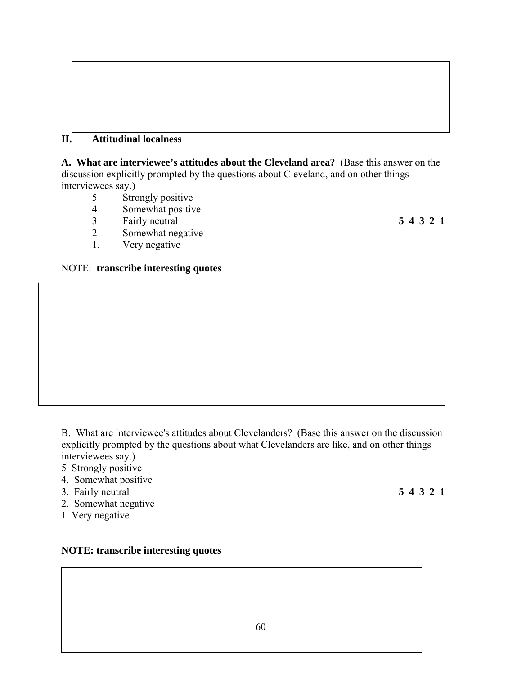### **II. Attitudinal localness**

**A. What are interviewee's attitudes about the Cleveland area?** (Base this answer on the discussion explicitly prompted by the questions about Cleveland, and on other things interviewees say.)<br>5 Stro

- Strongly positive
- 4 Somewhat positive
- 3 Fairly neutral **5 4 3 2 1**
- 2 Somewhat negative
- 1. Very negative

#### NOTE: **transcribe interesting quotes**

B. What are interviewee's attitudes about Clevelanders? (Base this answer on the discussion explicitly prompted by the questions about what Clevelanders are like, and on other things interviewees say.)

- 5 Strongly positive
- 4. Somewhat positive
- 3. Fairly neutral **5 4 3 2 1**
- 2. Somewhat negative
- 1 Very negative

### **NOTE: transcribe interesting quotes**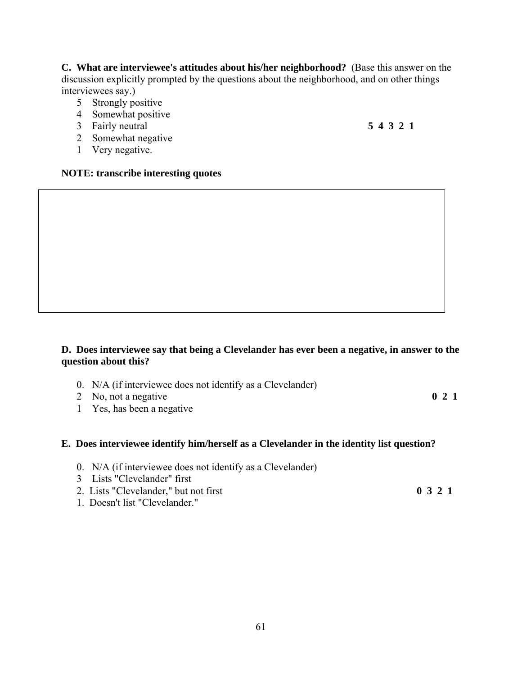**C. What are interviewee's attitudes about his/her neighborhood?** (Base this answer on the discussion explicitly prompted by the questions about the neighborhood, and on other things interviewees say.)

- 5 Strongly positive
- 4 Somewhat positive
- 3 Fairly neutral **5 4 3 2 1**
- 2 Somewhat negative
- 1 Very negative.

#### **NOTE: transcribe interesting quotes**

### **D. Does interviewee say that being a Clevelander has ever been a negative, in answer to the question about this?**

- 0. N/A (if interviewee does not identify as a Clevelander)
- 2 No, not a negative **0 2 1**
- 1 Yes, has been a negative

### **E. Does interviewee identify him/herself as a Clevelander in the identity list question?**

- 0. N/A (if interviewee does not identify as a Clevelander)
- 3 Lists "Clevelander" first
- 2. Lists "Clevelander," but not first **0 3 2 1**
	-

1. Doesn't list "Clevelander."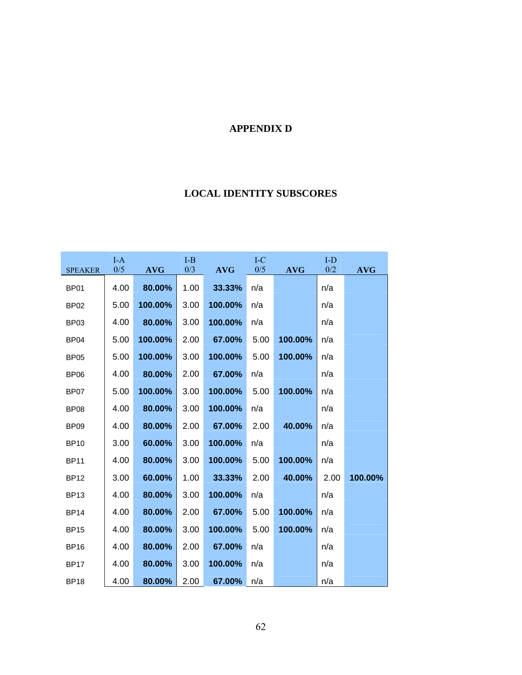# **APPENDIX D**

# **LOCAL IDENTITY SUBSCORES**

| <b>SPEAKER</b>   | $I-A$<br>0/5 | <b>AVG</b> | $I-B$<br>0/3 | <b>AVG</b> | $I-C$<br>0/5 | <b>AVG</b> | $I-D$<br>0/2 | <b>AVG</b> |
|------------------|--------------|------------|--------------|------------|--------------|------------|--------------|------------|
| <b>BP01</b>      | 4.00         | 80.00%     | 1.00         | 33.33%     | n/a          |            | n/a          |            |
| <b>BP02</b>      | 5.00         | 100.00%    | 3.00         | 100.00%    | n/a          |            | n/a          |            |
| BP03             | 4.00         | 80.00%     | 3.00         | 100.00%    | n/a          |            | n/a          |            |
| BP <sub>04</sub> | 5.00         | 100.00%    | 2.00         | 67.00%     | 5.00         | 100.00%    | n/a          |            |
| <b>BP05</b>      | 5.00         | 100.00%    | 3.00         | 100.00%    | 5.00         | 100.00%    | n/a          |            |
| <b>BP06</b>      | 4.00         | 80.00%     | 2.00         | 67.00%     | n/a          |            | n/a          |            |
| BP07             | 5.00         | 100.00%    | 3.00         | 100.00%    | 5.00         | 100.00%    | n/a          |            |
| BP <sub>08</sub> | 4.00         | 80.00%     | 3.00         | 100.00%    | n/a          |            | n/a          |            |
| <b>BP09</b>      | 4.00         | 80.00%     | 2.00         | 67.00%     | 2.00         | 40.00%     | n/a          |            |
| <b>BP10</b>      | 3.00         | 60.00%     | 3.00         | 100.00%    | n/a          |            | n/a          |            |
| <b>BP11</b>      | 4.00         | 80.00%     | 3.00         | 100.00%    | 5.00         | 100.00%    | n/a          |            |
| <b>BP12</b>      | 3.00         | 60.00%     | 1.00         | 33.33%     | 2.00         | 40.00%     | 2.00         | 100.00%    |
| <b>BP13</b>      | 4.00         | 80.00%     | 3.00         | 100.00%    | n/a          |            | n/a          |            |
| <b>BP14</b>      | 4.00         | 80.00%     | 2.00         | 67.00%     | 5.00         | 100.00%    | n/a          |            |
| <b>BP15</b>      | 4.00         | 80.00%     | 3.00         | 100.00%    | 5.00         | 100.00%    | n/a          |            |
| <b>BP16</b>      | 4.00         | 80.00%     | 2.00         | 67.00%     | n/a          |            | n/a          |            |
| <b>BP17</b>      | 4.00         | 80.00%     | 3.00         | 100.00%    | n/a          |            | n/a          |            |
| <b>BP18</b>      | 4.00         | 80.00%     | 2.00         | 67.00%     | n/a          |            | n/a          |            |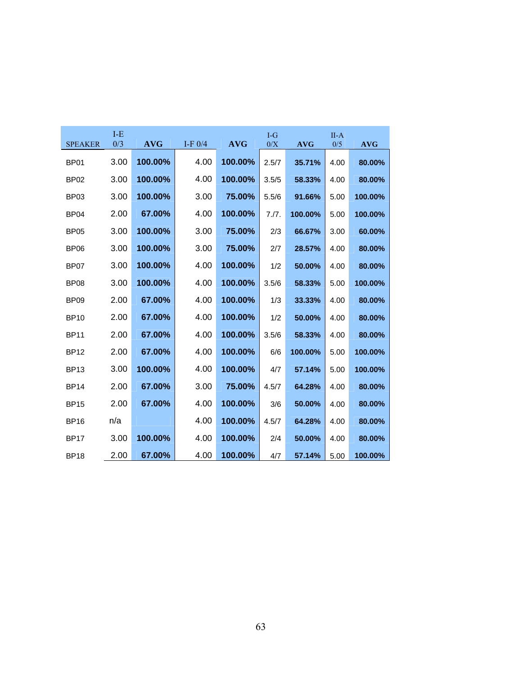| <b>SPEAKER</b>   | $I-E$<br>0/3 | <b>AVG</b> | I-F $0/4$ | <b>AVG</b> | $I-G$<br>0/X | <b>AVG</b> | $II-A$<br>0/5 | <b>AVG</b> |
|------------------|--------------|------------|-----------|------------|--------------|------------|---------------|------------|
|                  |              |            |           |            |              |            |               |            |
| BP <sub>01</sub> | 3.00         | 100.00%    | 4.00      | 100.00%    | 2.5/7        | 35.71%     | 4.00          | 80.00%     |
| <b>BP02</b>      | 3.00         | 100.00%    | 4.00      | 100.00%    | 3.5/5        | 58.33%     | 4.00          | 80.00%     |
| <b>BP03</b>      | 3.00         | 100.00%    | 3.00      | 75.00%     | 5.5/6        | 91.66%     | 5.00          | 100.00%    |
| BP <sub>04</sub> | 2.00         | 67.00%     | 4.00      | 100.00%    | 7.7.         | 100.00%    | 5.00          | 100.00%    |
| <b>BP05</b>      | 3.00         | 100.00%    | 3.00      | 75.00%     | 2/3          | 66.67%     | 3.00          | 60.00%     |
| <b>BP06</b>      | 3.00         | 100.00%    | 3.00      | 75.00%     | 2/7          | 28.57%     | 4.00          | 80.00%     |
| <b>BP07</b>      | 3.00         | 100.00%    | 4.00      | 100.00%    | 1/2          | 50.00%     | 4.00          | 80.00%     |
| <b>BP08</b>      | 3.00         | 100.00%    | 4.00      | 100.00%    | 3.5/6        | 58.33%     | 5.00          | 100.00%    |
| BP <sub>09</sub> | 2.00         | 67.00%     | 4.00      | 100.00%    | 1/3          | 33.33%     | 4.00          | 80.00%     |
| <b>BP10</b>      | 2.00         | 67.00%     | 4.00      | 100.00%    | 1/2          | 50.00%     | 4.00          | 80.00%     |
| <b>BP11</b>      | 2.00         | 67.00%     | 4.00      | 100.00%    | 3.5/6        | 58.33%     | 4.00          | 80.00%     |
| <b>BP12</b>      | 2.00         | 67.00%     | 4.00      | 100.00%    | 6/6          | 100.00%    | 5.00          | 100.00%    |
| <b>BP13</b>      | 3.00         | 100.00%    | 4.00      | 100.00%    | 4/7          | 57.14%     | 5.00          | 100.00%    |
| <b>BP14</b>      | 2.00         | 67.00%     | 3.00      | 75.00%     | 4.5/7        | 64.28%     | 4.00          | 80.00%     |
| <b>BP15</b>      | 2.00         | 67.00%     | 4.00      | 100.00%    | 3/6          | 50.00%     | 4.00          | 80.00%     |
| <b>BP16</b>      | n/a          |            | 4.00      | 100.00%    | 4.5/7        | 64.28%     | 4.00          | 80.00%     |
| <b>BP17</b>      | 3.00         | 100.00%    | 4.00      | 100.00%    | 2/4          | 50.00%     | 4.00          | 80.00%     |
| <b>BP18</b>      | 2.00         | 67.00%     | 4.00      | 100.00%    | 4/7          | 57.14%     | 5.00          | 100.00%    |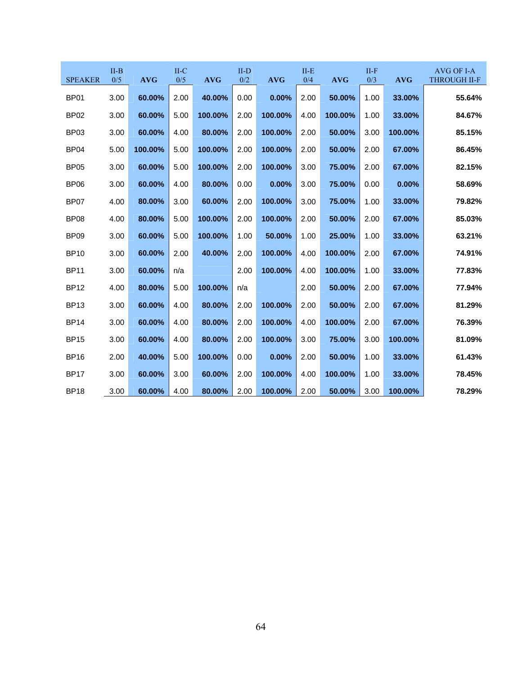| <b>SPEAKER</b>   | $II-B$<br>0/5 | <b>AVG</b> | $II-C$<br>0/5 | <b>AVG</b> | $II-D$<br>$0/2$ | <b>AVG</b> | $II-E$<br>0/4 | <b>AVG</b> | $II-F$<br>0/3 | <b>AVG</b> | AVG OF I-A<br><b>THROUGH II-F</b> |
|------------------|---------------|------------|---------------|------------|-----------------|------------|---------------|------------|---------------|------------|-----------------------------------|
| <b>BP01</b>      | 3.00          | 60.00%     | 2.00          | 40.00%     | 0.00            | 0.00%      | 2.00          | 50.00%     | 1.00          | 33.00%     | 55.64%                            |
| <b>BP02</b>      | 3.00          | 60.00%     | 5.00          | 100.00%    | 2.00            | 100.00%    | 4.00          | 100.00%    | 1.00          | 33.00%     | 84.67%                            |
| BP <sub>03</sub> | 3.00          | 60.00%     | 4.00          | 80.00%     | 2.00            | 100.00%    | 2.00          | 50.00%     | 3.00          | 100.00%    | 85.15%                            |
| <b>BP04</b>      | 5.00          | 100.00%    | 5.00          | 100.00%    | 2.00            | 100.00%    | 2.00          | 50.00%     | 2.00          | 67.00%     | 86.45%                            |
| <b>BP05</b>      | 3.00          | 60.00%     | 5.00          | 100.00%    | 2.00            | 100.00%    | 3.00          | 75.00%     | 2.00          | 67.00%     | 82.15%                            |
| <b>BP06</b>      | 3.00          | 60.00%     | 4.00          | 80.00%     | 0.00            | 0.00%      | 3.00          | 75.00%     | 0.00          | 0.00%      | 58.69%                            |
| <b>BP07</b>      | 4.00          | 80.00%     | 3.00          | 60.00%     | 2.00            | 100.00%    | 3.00          | 75.00%     | 1.00          | 33.00%     | 79.82%                            |
| <b>BP08</b>      | 4.00          | 80.00%     | 5.00          | 100.00%    | 2.00            | 100.00%    | 2.00          | 50.00%     | 2.00          | 67.00%     | 85.03%                            |
| <b>BP09</b>      | 3.00          | 60.00%     | 5.00          | 100.00%    | 1.00            | 50.00%     | 1.00          | 25.00%     | 1.00          | 33.00%     | 63.21%                            |
| <b>BP10</b>      | 3.00          | 60.00%     | 2.00          | 40.00%     | 2.00            | 100.00%    | 4.00          | 100.00%    | 2.00          | 67.00%     | 74.91%                            |
| <b>BP11</b>      | 3.00          | 60.00%     | n/a           |            | 2.00            | 100.00%    | 4.00          | 100.00%    | 1.00          | 33.00%     | 77.83%                            |
| <b>BP12</b>      | 4.00          | 80.00%     | 5.00          | 100.00%    | n/a             |            | 2.00          | 50.00%     | 2.00          | 67.00%     | 77.94%                            |
| <b>BP13</b>      | 3.00          | 60.00%     | 4.00          | 80.00%     | 2.00            | 100.00%    | 2.00          | 50.00%     | 2.00          | 67.00%     | 81.29%                            |
| <b>BP14</b>      | 3.00          | 60.00%     | 4.00          | 80.00%     | 2.00            | 100.00%    | 4.00          | 100.00%    | 2.00          | 67.00%     | 76.39%                            |
| <b>BP15</b>      | 3.00          | 60.00%     | 4.00          | 80.00%     | 2.00            | 100.00%    | 3.00          | 75.00%     | 3.00          | 100.00%    | 81.09%                            |
| <b>BP16</b>      | 2.00          | 40.00%     | 5.00          | 100.00%    | 0.00            | 0.00%      | 2.00          | 50.00%     | 1.00          | 33.00%     | 61.43%                            |
| <b>BP17</b>      | 3.00          | 60.00%     | 3.00          | 60.00%     | 2.00            | 100.00%    | 4.00          | 100.00%    | 1.00          | 33.00%     | 78.45%                            |
| <b>BP18</b>      | 3.00          | 60.00%     | 4.00          | 80.00%     | 2.00            | 100.00%    | 2.00          | 50.00%     | 3.00          | 100.00%    | 78.29%                            |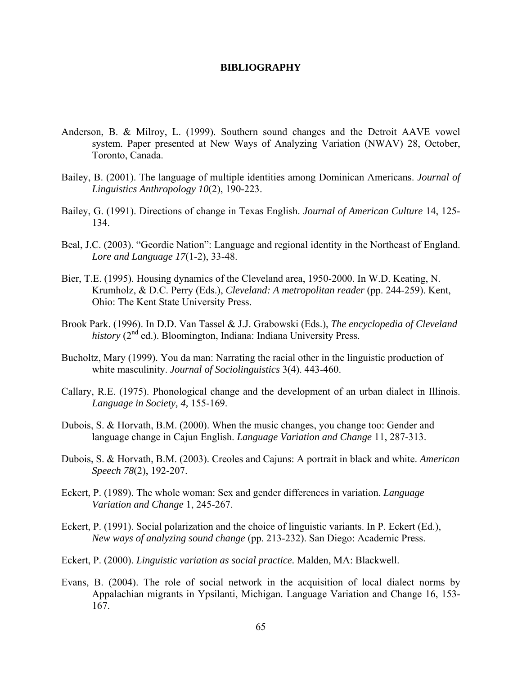## **BIBLIOGRAPHY**

- Anderson, B. & Milroy, L. (1999). Southern sound changes and the Detroit AAVE vowel system. Paper presented at New Ways of Analyzing Variation (NWAV) 28, October, Toronto, Canada.
- Bailey, B. (2001). The language of multiple identities among Dominican Americans. *Journal of Linguistics Anthropology 10*(2), 190-223.
- Bailey, G. (1991). Directions of change in Texas English. *Journal of American Culture* 14, 125- 134.
- Beal, J.C. (2003). "Geordie Nation": Language and regional identity in the Northeast of England. *Lore and Language 17*(1-2), 33-48.
- Bier, T.E. (1995). Housing dynamics of the Cleveland area, 1950-2000. In W.D. Keating, N. Krumholz, & D.C. Perry (Eds.), *Cleveland: A metropolitan reader* (pp. 244-259). Kent, Ohio: The Kent State University Press.
- Brook Park. (1996). In D.D. Van Tassel & J.J. Grabowski (Eds.), *The encyclopedia of Cleveland*   $history$  ( $2<sup>nd</sup>$  ed.). Bloomington, Indiana: Indiana University Press.
- Bucholtz, Mary (1999). You da man: Narrating the racial other in the linguistic production of white masculinity. *Journal of Sociolinguistics* 3(4). 443-460.
- Callary, R.E. (1975). Phonological change and the development of an urban dialect in Illinois. *Language in Society, 4,* 155-169.
- Dubois, S. & Horvath, B.M. (2000). When the music changes, you change too: Gender and language change in Cajun English. *Language Variation and Change* 11, 287-313.
- Dubois, S. & Horvath, B.M. (2003). Creoles and Cajuns: A portrait in black and white. *American Speech 78*(2), 192-207.
- Eckert, P. (1989). The whole woman: Sex and gender differences in variation. *Language Variation and Change* 1, 245-267.
- Eckert, P. (1991). Social polarization and the choice of linguistic variants. In P. Eckert (Ed.), *New ways of analyzing sound change* (pp. 213-232). San Diego: Academic Press.
- Eckert, P. (2000). *Linguistic variation as social practice.* Malden, MA: Blackwell.
- Evans, B. (2004). The role of social network in the acquisition of local dialect norms by Appalachian migrants in Ypsilanti, Michigan. Language Variation and Change 16, 153- 167.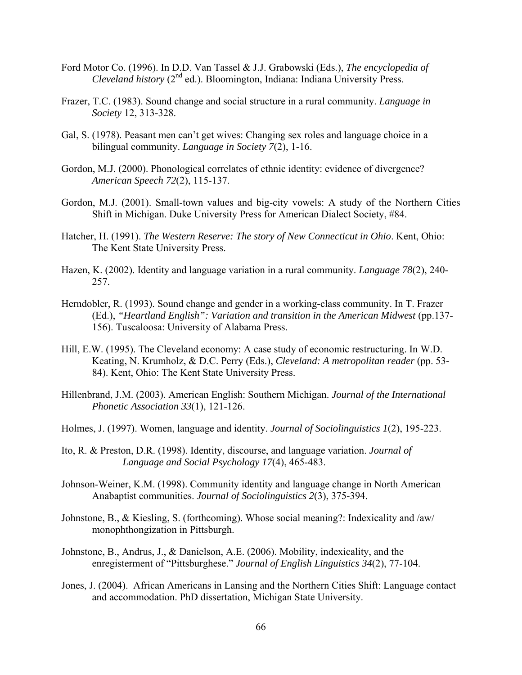- Ford Motor Co. (1996). In D.D. Van Tassel & J.J. Grabowski (Eds.), *The encyclopedia of Cleveland history* (2<sup>nd</sup> ed.). Bloomington, Indiana: Indiana University Press.
- Frazer, T.C. (1983). Sound change and social structure in a rural community. *Language in Society* 12, 313-328.
- Gal, S. (1978). Peasant men can't get wives: Changing sex roles and language choice in a bilingual community. *Language in Society 7*(2), 1-16.
- Gordon, M.J. (2000). Phonological correlates of ethnic identity: evidence of divergence? *American Speech 72*(2), 115-137.
- Gordon, M.J. (2001). Small-town values and big-city vowels: A study of the Northern Cities Shift in Michigan. Duke University Press for American Dialect Society, #84.
- Hatcher, H. (1991). *The Western Reserve: The story of New Connecticut in Ohio*. Kent, Ohio: The Kent State University Press.
- Hazen, K. (2002). Identity and language variation in a rural community. *Language 78*(2), 240- 257.
- Herndobler, R. (1993). Sound change and gender in a working-class community. In T. Frazer (Ed.), *"Heartland English": Variation and transition in the American Midwest* (pp.137- 156). Tuscaloosa: University of Alabama Press.
- Hill, E.W. (1995). The Cleveland economy: A case study of economic restructuring. In W.D. Keating, N. Krumholz, & D.C. Perry (Eds.), *Cleveland: A metropolitan reader* (pp. 53- 84). Kent, Ohio: The Kent State University Press.
- Hillenbrand, J.M. (2003). American English: Southern Michigan. *Journal of the International Phonetic Association 33*(1), 121-126.
- Holmes, J. (1997). Women, language and identity. *Journal of Sociolinguistics 1*(2), 195-223.
- Ito, R. & Preston, D.R. (1998). Identity, discourse, and language variation. *Journal of Language and Social Psychology 17*(4), 465-483.
- Johnson-Weiner, K.M. (1998). Community identity and language change in North American Anabaptist communities. *Journal of Sociolinguistics 2*(3), 375-394.
- Johnstone, B., & Kiesling, S. (forthcoming). Whose social meaning?: Indexicality and /aw/ monophthongization in Pittsburgh.
- Johnstone, B., Andrus, J., & Danielson, A.E. (2006). Mobility, indexicality, and the enregisterment of "Pittsburghese." *Journal of English Linguistics 34*(2), 77-104.
- Jones, J. (2004). African Americans in Lansing and the Northern Cities Shift: Language contact and accommodation. PhD dissertation, Michigan State University.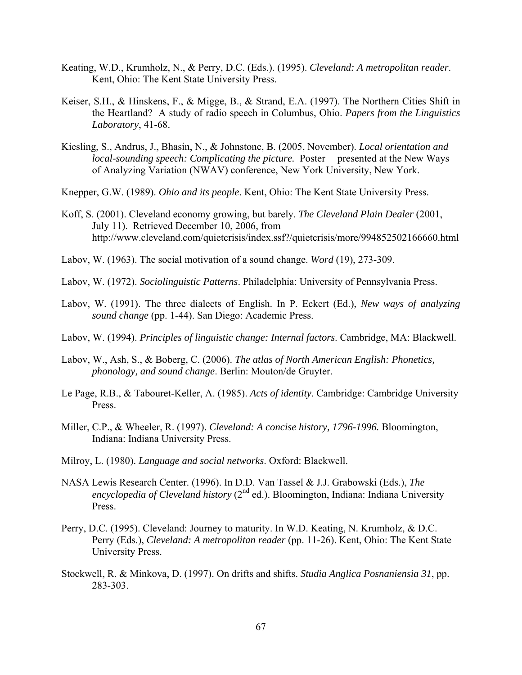- Keating, W.D., Krumholz, N., & Perry, D.C. (Eds.). (1995). *Cleveland: A metropolitan reader*. Kent, Ohio: The Kent State University Press.
- Keiser, S.H., & Hinskens, F., & Migge, B., & Strand, E.A. (1997). The Northern Cities Shift in the Heartland? A study of radio speech in Columbus, Ohio. *Papers from the Linguistics Laboratory*, 41-68.
- Kiesling, S., Andrus, J., Bhasin, N., & Johnstone, B. (2005, November). *Local orientation and local-sounding speech: Complicating the picture.* Poster presented at the New Ways of Analyzing Variation (NWAV) conference, New York University, New York.
- Knepper, G.W. (1989). *Ohio and its people*. Kent, Ohio: The Kent State University Press.
- Koff, S. (2001). Cleveland economy growing, but barely. *The Cleveland Plain Dealer* (2001, July 11). Retrieved December 10, 2006, from http://www.cleveland.com/quietcrisis/index.ssf?/quietcrisis/more/994852502166660.html
- Labov, W. (1963). The social motivation of a sound change. *Word* (19), 273-309.
- Labov, W. (1972). *Sociolinguistic Patterns*. Philadelphia: University of Pennsylvania Press.
- Labov, W. (1991). The three dialects of English. In P. Eckert (Ed.), *New ways of analyzing sound change* (pp. 1-44). San Diego: Academic Press.
- Labov, W. (1994). *Principles of linguistic change: Internal factors*. Cambridge, MA: Blackwell.
- Labov, W., Ash, S., & Boberg, C. (2006). *The atlas of North American English: Phonetics, phonology, and sound change*. Berlin: Mouton/de Gruyter.
- Le Page, R.B., & Tabouret-Keller, A. (1985). *Acts of identity*. Cambridge: Cambridge University Press.
- Miller, C.P., & Wheeler, R. (1997). *Cleveland: A concise history, 1796-1996.* Bloomington, Indiana: Indiana University Press.
- Milroy, L. (1980). *Language and social networks*. Oxford: Blackwell.
- NASA Lewis Research Center. (1996). In D.D. Van Tassel & J.J. Grabowski (Eds.), *The encyclopedia of Cleveland history* (2<sup>nd</sup> ed.). Bloomington, Indiana: Indiana University Press.
- Perry, D.C. (1995). Cleveland: Journey to maturity. In W.D. Keating, N. Krumholz, & D.C. Perry (Eds.), *Cleveland: A metropolitan reader* (pp. 11-26). Kent, Ohio: The Kent State University Press.
- Stockwell, R. & Minkova, D. (1997). On drifts and shifts. *Studia Anglica Posnaniensia 31*, pp. 283-303.